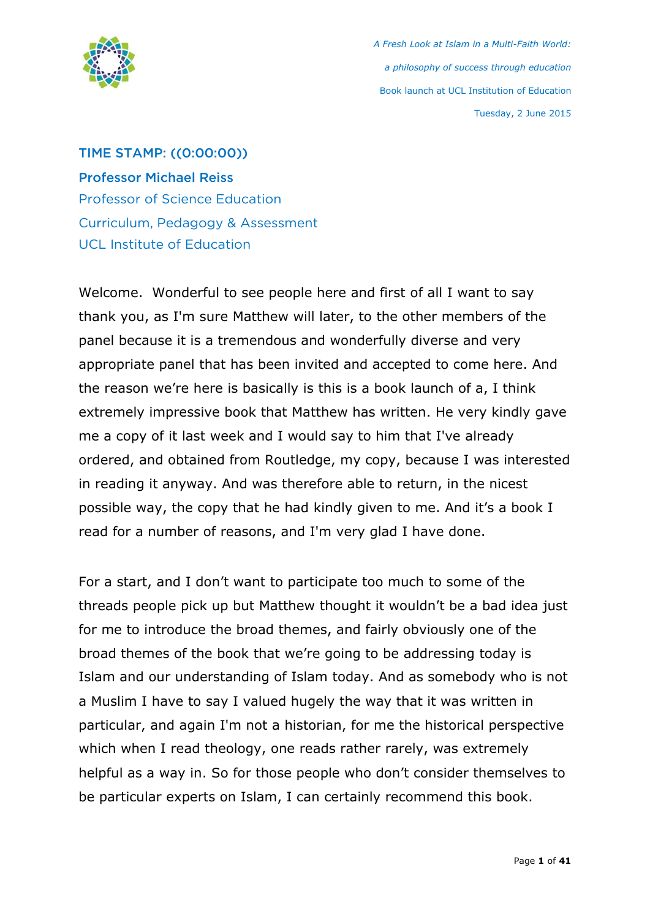

TIME STAMP: ((0:00:00)) Professor Michael Reiss Professor of Science Education Curriculum, Pedagogy & Assessment UCL Institute of Education

Welcome. Wonderful to see people here and first of all I want to say thank you, as I'm sure Matthew will later, to the other members of the panel because it is a tremendous and wonderfully diverse and very appropriate panel that has been invited and accepted to come here. And the reason we're here is basically is this is a book launch of a, I think extremely impressive book that Matthew has written. He very kindly gave me a copy of it last week and I would say to him that I've already ordered, and obtained from Routledge, my copy, because I was interested in reading it anyway. And was therefore able to return, in the nicest possible way, the copy that he had kindly given to me. And it's a book I read for a number of reasons, and I'm very glad I have done.

For a start, and I don't want to participate too much to some of the threads people pick up but Matthew thought it wouldn't be a bad idea just for me to introduce the broad themes, and fairly obviously one of the broad themes of the book that we're going to be addressing today is Islam and our understanding of Islam today. And as somebody who is not a Muslim I have to say I valued hugely the way that it was written in particular, and again I'm not a historian, for me the historical perspective which when I read theology, one reads rather rarely, was extremely helpful as a way in. So for those people who don't consider themselves to be particular experts on Islam, I can certainly recommend this book.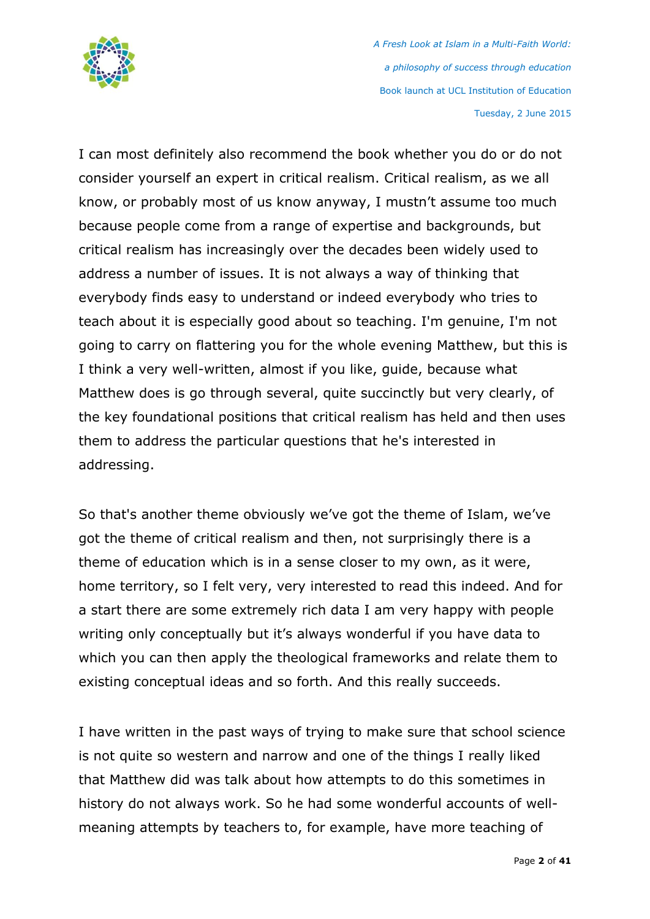

I can most definitely also recommend the book whether you do or do not consider yourself an expert in critical realism. Critical realism, as we all know, or probably most of us know anyway, I mustn't assume too much because people come from a range of expertise and backgrounds, but critical realism has increasingly over the decades been widely used to address a number of issues. It is not always a way of thinking that everybody finds easy to understand or indeed everybody who tries to teach about it is especially good about so teaching. I'm genuine, I'm not going to carry on flattering you for the whole evening Matthew, but this is I think a very well-written, almost if you like, guide, because what Matthew does is go through several, quite succinctly but very clearly, of the key foundational positions that critical realism has held and then uses them to address the particular questions that he's interested in addressing.

So that's another theme obviously we've got the theme of Islam, we've got the theme of critical realism and then, not surprisingly there is a theme of education which is in a sense closer to my own, as it were, home territory, so I felt very, very interested to read this indeed. And for a start there are some extremely rich data I am very happy with people writing only conceptually but it's always wonderful if you have data to which you can then apply the theological frameworks and relate them to existing conceptual ideas and so forth. And this really succeeds.

I have written in the past ways of trying to make sure that school science is not quite so western and narrow and one of the things I really liked that Matthew did was talk about how attempts to do this sometimes in history do not always work. So he had some wonderful accounts of wellmeaning attempts by teachers to, for example, have more teaching of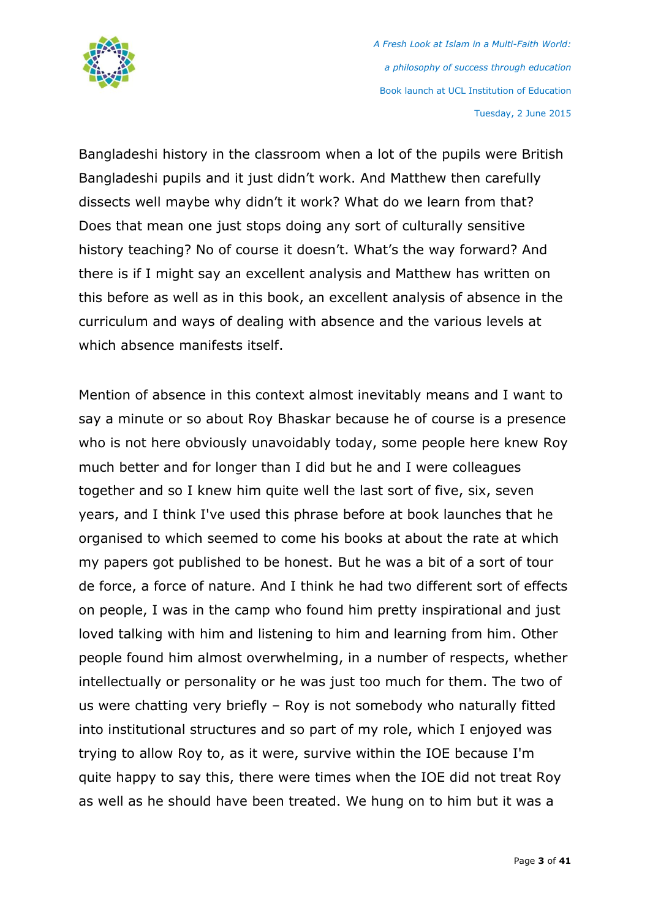

Bangladeshi history in the classroom when a lot of the pupils were British Bangladeshi pupils and it just didn't work. And Matthew then carefully dissects well maybe why didn't it work? What do we learn from that? Does that mean one just stops doing any sort of culturally sensitive history teaching? No of course it doesn't. What's the way forward? And there is if I might say an excellent analysis and Matthew has written on this before as well as in this book, an excellent analysis of absence in the curriculum and ways of dealing with absence and the various levels at which absence manifests itself.

Mention of absence in this context almost inevitably means and I want to say a minute or so about Roy Bhaskar because he of course is a presence who is not here obviously unavoidably today, some people here knew Roy much better and for longer than I did but he and I were colleagues together and so I knew him quite well the last sort of five, six, seven years, and I think I've used this phrase before at book launches that he organised to which seemed to come his books at about the rate at which my papers got published to be honest. But he was a bit of a sort of tour de force, a force of nature. And I think he had two different sort of effects on people, I was in the camp who found him pretty inspirational and just loved talking with him and listening to him and learning from him. Other people found him almost overwhelming, in a number of respects, whether intellectually or personality or he was just too much for them. The two of us were chatting very briefly – Roy is not somebody who naturally fitted into institutional structures and so part of my role, which I enjoyed was trying to allow Roy to, as it were, survive within the IOE because I'm quite happy to say this, there were times when the IOE did not treat Roy as well as he should have been treated. We hung on to him but it was a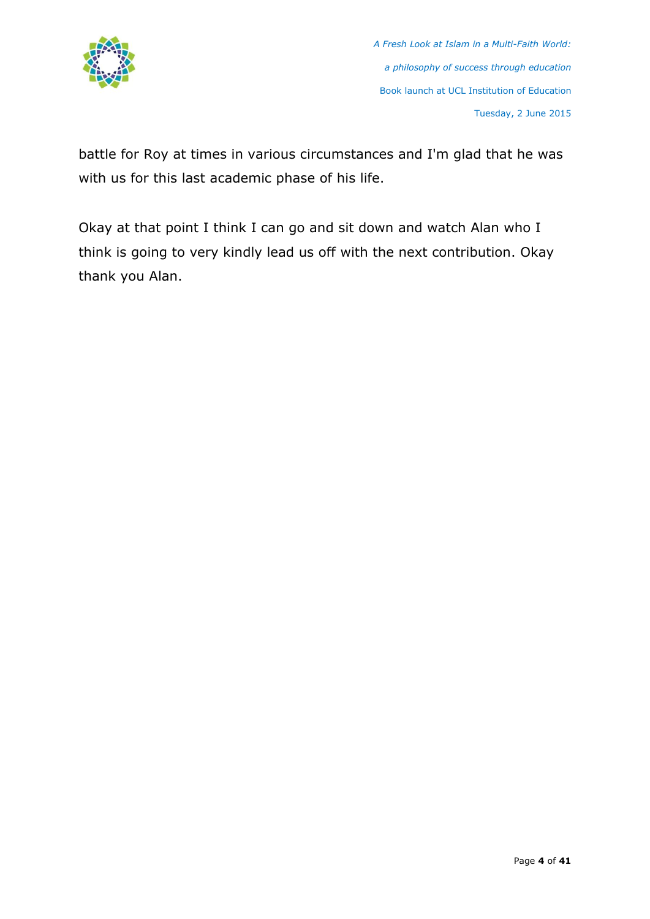

battle for Roy at times in various circumstances and I'm glad that he was with us for this last academic phase of his life.

Okay at that point I think I can go and sit down and watch Alan who I think is going to very kindly lead us off with the next contribution. Okay thank you Alan.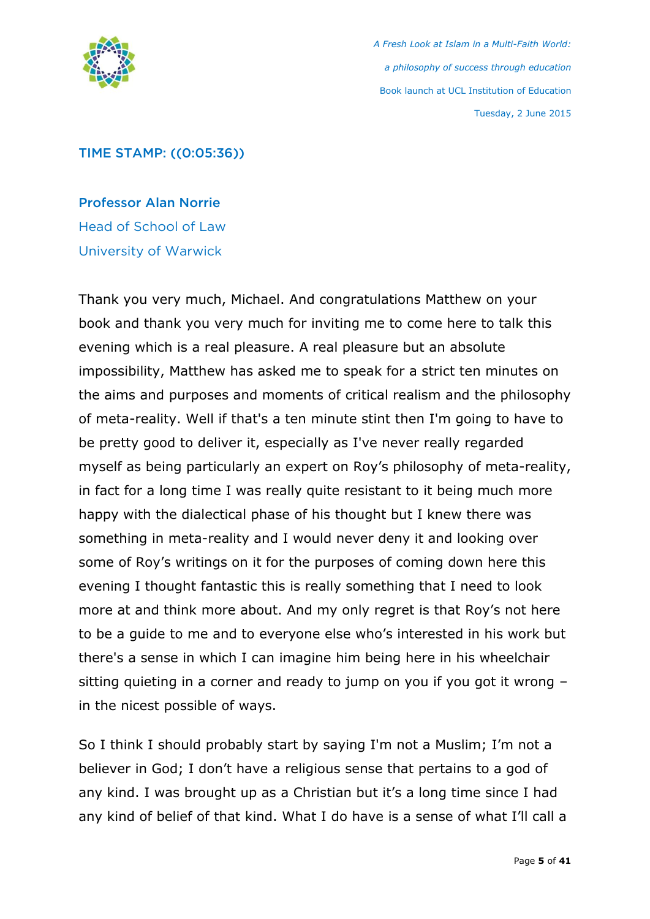

#### TIME STAMP: ((0:05:36))

Professor Alan Norrie Head of School of Law University of Warwick

Thank you very much, Michael. And congratulations Matthew on your book and thank you very much for inviting me to come here to talk this evening which is a real pleasure. A real pleasure but an absolute impossibility, Matthew has asked me to speak for a strict ten minutes on the aims and purposes and moments of critical realism and the philosophy of meta-reality. Well if that's a ten minute stint then I'm going to have to be pretty good to deliver it, especially as I've never really regarded myself as being particularly an expert on Roy's philosophy of meta-reality, in fact for a long time I was really quite resistant to it being much more happy with the dialectical phase of his thought but I knew there was something in meta-reality and I would never deny it and looking over some of Roy's writings on it for the purposes of coming down here this evening I thought fantastic this is really something that I need to look more at and think more about. And my only regret is that Roy's not here to be a guide to me and to everyone else who's interested in his work but there's a sense in which I can imagine him being here in his wheelchair sitting quieting in a corner and ready to jump on you if you got it wrong – in the nicest possible of ways.

So I think I should probably start by saying I'm not a Muslim; I'm not a believer in God; I don't have a religious sense that pertains to a god of any kind. I was brought up as a Christian but it's a long time since I had any kind of belief of that kind. What I do have is a sense of what I'll call a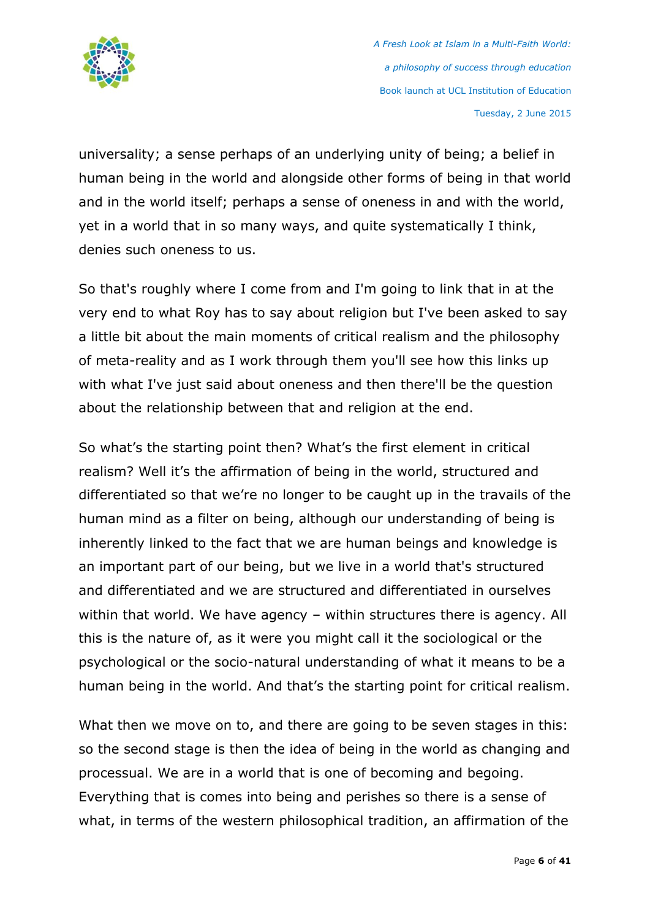

universality; a sense perhaps of an underlying unity of being; a belief in human being in the world and alongside other forms of being in that world and in the world itself; perhaps a sense of oneness in and with the world, yet in a world that in so many ways, and quite systematically I think, denies such oneness to us.

So that's roughly where I come from and I'm going to link that in at the very end to what Roy has to say about religion but I've been asked to say a little bit about the main moments of critical realism and the philosophy of meta-reality and as I work through them you'll see how this links up with what I've just said about oneness and then there'll be the question about the relationship between that and religion at the end.

So what's the starting point then? What's the first element in critical realism? Well it's the affirmation of being in the world, structured and differentiated so that we're no longer to be caught up in the travails of the human mind as a filter on being, although our understanding of being is inherently linked to the fact that we are human beings and knowledge is an important part of our being, but we live in a world that's structured and differentiated and we are structured and differentiated in ourselves within that world. We have agency – within structures there is agency. All this is the nature of, as it were you might call it the sociological or the psychological or the socio-natural understanding of what it means to be a human being in the world. And that's the starting point for critical realism.

What then we move on to, and there are going to be seven stages in this: so the second stage is then the idea of being in the world as changing and processual. We are in a world that is one of becoming and begoing. Everything that is comes into being and perishes so there is a sense of what, in terms of the western philosophical tradition, an affirmation of the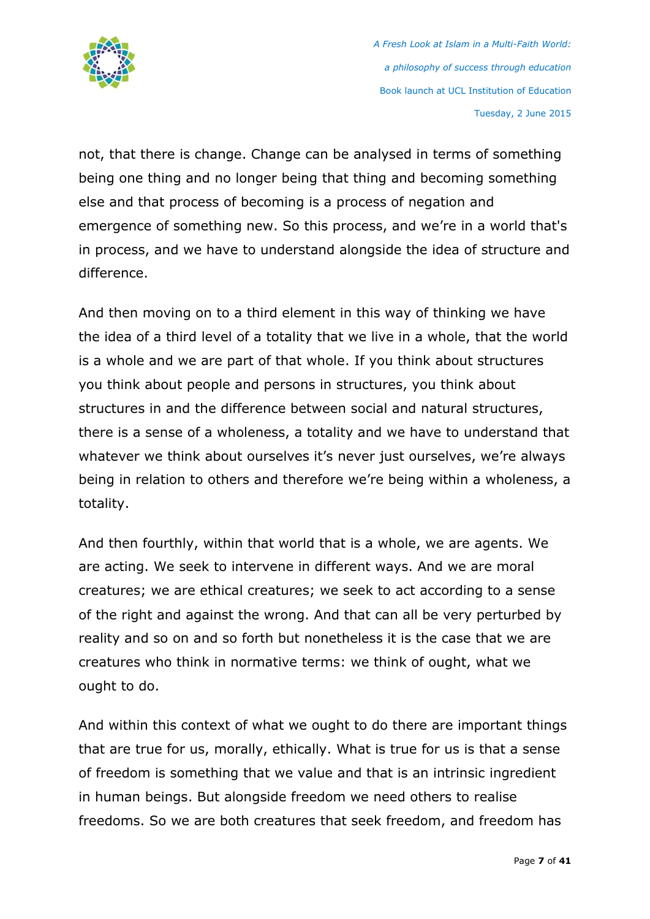

not, that there is change. Change can be analysed in terms of something being one thing and no longer being that thing and becoming something else and that process of becoming is a process of negation and emergence of something new. So this process, and we're in a world that's in process, and we have to understand alongside the idea of structure and difference.

And then moving on to a third element in this way of thinking we have the idea of a third level of a totality that we live in a whole, that the world is a whole and we are part of that whole. If you think about structures you think about people and persons in structures, you think about structures in and the difference between social and natural structures, there is a sense of a wholeness, a totality and we have to understand that whatever we think about ourselves it's never just ourselves, we're always being in relation to others and therefore we're being within a wholeness, a totality.

And then fourthly, within that world that is a whole, we are agents. We are acting. We seek to intervene in different ways. And we are moral creatures; we are ethical creatures; we seek to act according to a sense of the right and against the wrong. And that can all be very perturbed by reality and so on and so forth but nonetheless it is the case that we are creatures who think in normative terms: we think of ought, what we ought to do.

And within this context of what we ought to do there are important things that are true for us, morally, ethically. What is true for us is that a sense of freedom is something that we value and that is an intrinsic ingredient in human beings. But alongside freedom we need others to realise freedoms. So we are both creatures that seek freedom, and freedom has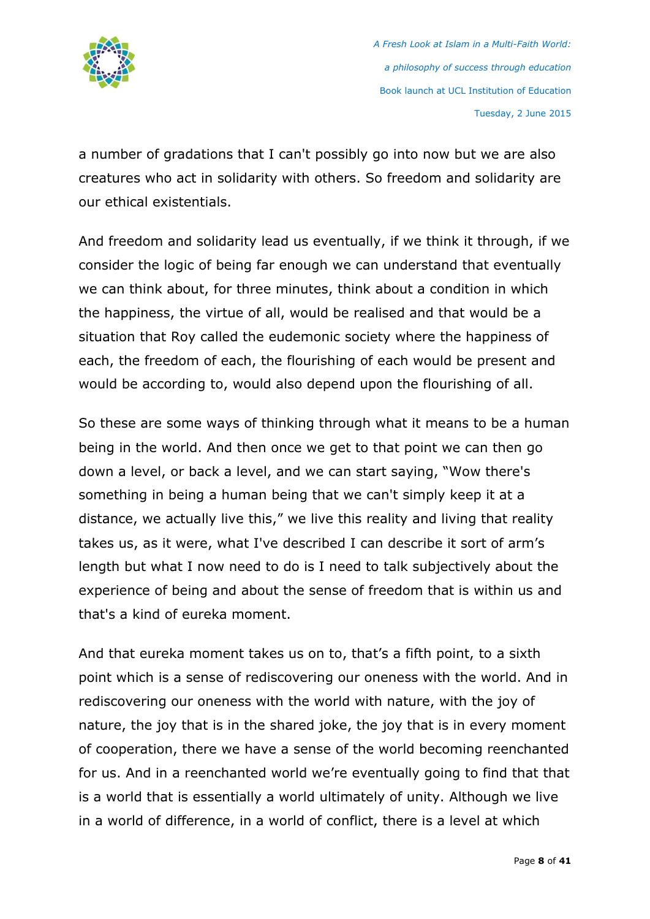

a number of gradations that I can't possibly go into now but we are also creatures who act in solidarity with others. So freedom and solidarity are our ethical existentials.

And freedom and solidarity lead us eventually, if we think it through, if we consider the logic of being far enough we can understand that eventually we can think about, for three minutes, think about a condition in which the happiness, the virtue of all, would be realised and that would be a situation that Roy called the eudemonic society where the happiness of each, the freedom of each, the flourishing of each would be present and would be according to, would also depend upon the flourishing of all.

So these are some ways of thinking through what it means to be a human being in the world. And then once we get to that point we can then go down a level, or back a level, and we can start saying, "Wow there's something in being a human being that we can't simply keep it at a distance, we actually live this," we live this reality and living that reality takes us, as it were, what I've described I can describe it sort of arm's length but what I now need to do is I need to talk subjectively about the experience of being and about the sense of freedom that is within us and that's a kind of eureka moment.

And that eureka moment takes us on to, that's a fifth point, to a sixth point which is a sense of rediscovering our oneness with the world. And in rediscovering our oneness with the world with nature, with the joy of nature, the joy that is in the shared joke, the joy that is in every moment of cooperation, there we have a sense of the world becoming reenchanted for us. And in a reenchanted world we're eventually going to find that that is a world that is essentially a world ultimately of unity. Although we live in a world of difference, in a world of conflict, there is a level at which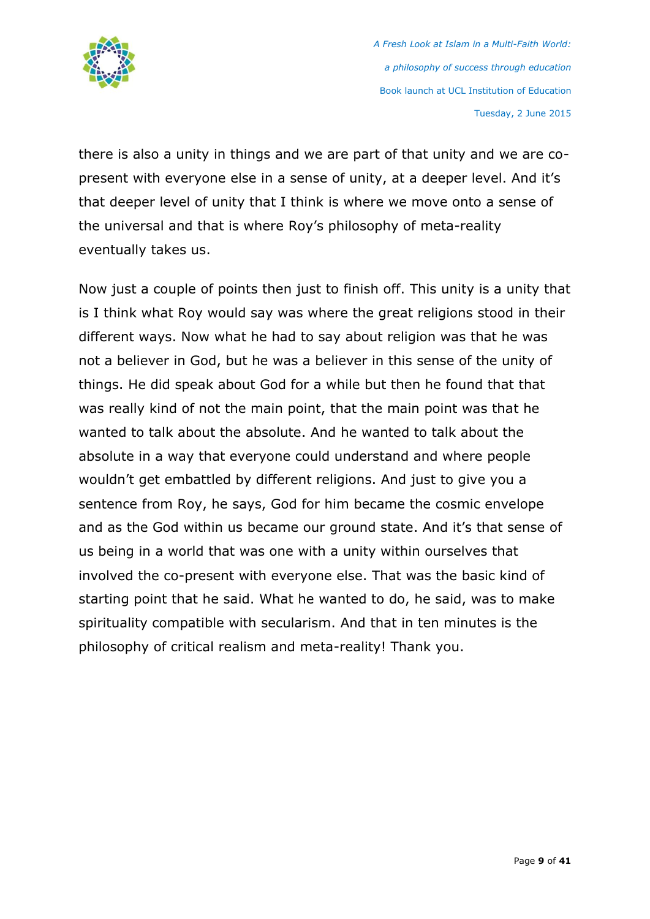

there is also a unity in things and we are part of that unity and we are copresent with everyone else in a sense of unity, at a deeper level. And it's that deeper level of unity that I think is where we move onto a sense of the universal and that is where Roy's philosophy of meta-reality eventually takes us.

Now just a couple of points then just to finish off. This unity is a unity that is I think what Roy would say was where the great religions stood in their different ways. Now what he had to say about religion was that he was not a believer in God, but he was a believer in this sense of the unity of things. He did speak about God for a while but then he found that that was really kind of not the main point, that the main point was that he wanted to talk about the absolute. And he wanted to talk about the absolute in a way that everyone could understand and where people wouldn't get embattled by different religions. And just to give you a sentence from Roy, he says, God for him became the cosmic envelope and as the God within us became our ground state. And it's that sense of us being in a world that was one with a unity within ourselves that involved the co-present with everyone else. That was the basic kind of starting point that he said. What he wanted to do, he said, was to make spirituality compatible with secularism. And that in ten minutes is the philosophy of critical realism and meta-reality! Thank you.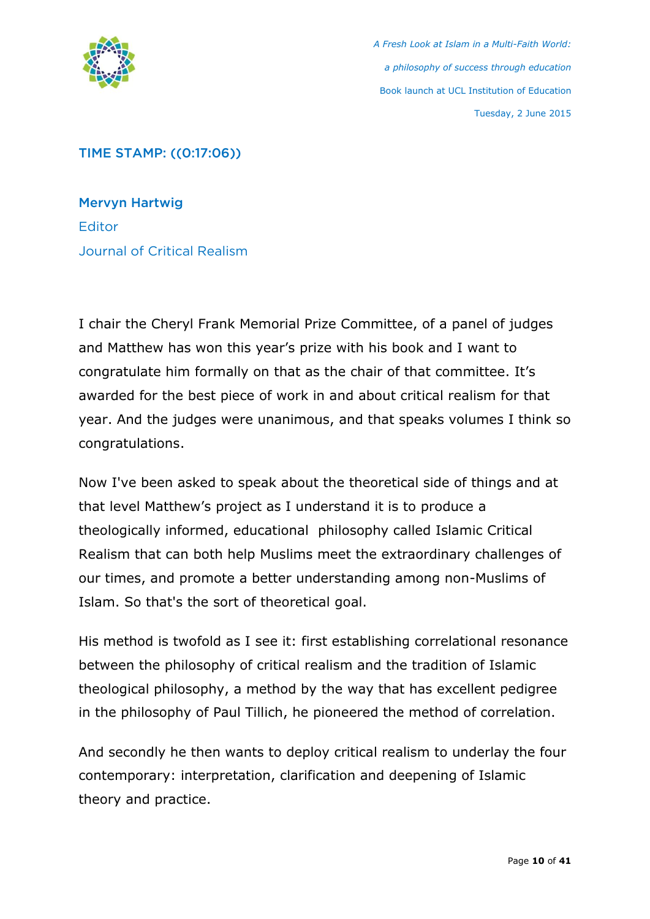

# TIME STAMP: ((0:17:06))

Mervyn Hartwig **Editor** Journal of Critical Realism

I chair the Cheryl Frank Memorial Prize Committee, of a panel of judges and Matthew has won this year's prize with his book and I want to congratulate him formally on that as the chair of that committee. It's awarded for the best piece of work in and about critical realism for that year. And the judges were unanimous, and that speaks volumes I think so congratulations.

Now I've been asked to speak about the theoretical side of things and at that level Matthew's project as I understand it is to produce a theologically informed, educational philosophy called Islamic Critical Realism that can both help Muslims meet the extraordinary challenges of our times, and promote a better understanding among non-Muslims of Islam. So that's the sort of theoretical goal.

His method is twofold as I see it: first establishing correlational resonance between the philosophy of critical realism and the tradition of Islamic theological philosophy, a method by the way that has excellent pedigree in the philosophy of Paul Tillich, he pioneered the method of correlation.

And secondly he then wants to deploy critical realism to underlay the four contemporary: interpretation, clarification and deepening of Islamic theory and practice.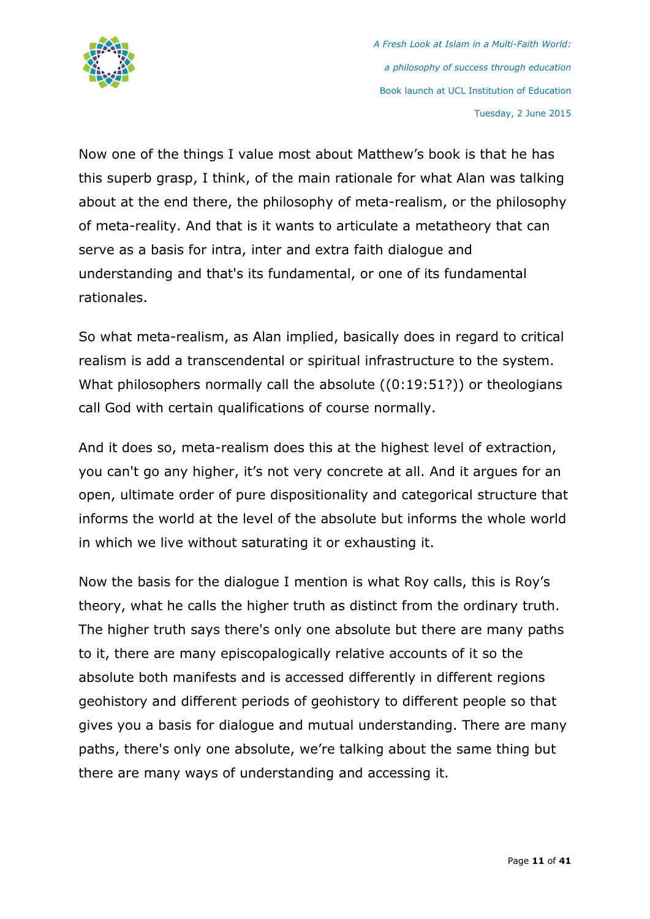

Now one of the things I value most about Matthew's book is that he has this superb grasp, I think, of the main rationale for what Alan was talking about at the end there, the philosophy of meta-realism, or the philosophy of meta-reality. And that is it wants to articulate a metatheory that can serve as a basis for intra, inter and extra faith dialogue and understanding and that's its fundamental, or one of its fundamental rationales.

So what meta-realism, as Alan implied, basically does in regard to critical realism is add a transcendental or spiritual infrastructure to the system. What philosophers normally call the absolute ((0:19:51?)) or theologians call God with certain qualifications of course normally.

And it does so, meta-realism does this at the highest level of extraction, you can't go any higher, it's not very concrete at all. And it argues for an open, ultimate order of pure dispositionality and categorical structure that informs the world at the level of the absolute but informs the whole world in which we live without saturating it or exhausting it.

Now the basis for the dialogue I mention is what Roy calls, this is Roy's theory, what he calls the higher truth as distinct from the ordinary truth. The higher truth says there's only one absolute but there are many paths to it, there are many episcopalogically relative accounts of it so the absolute both manifests and is accessed differently in different regions geohistory and different periods of geohistory to different people so that gives you a basis for dialogue and mutual understanding. There are many paths, there's only one absolute, we're talking about the same thing but there are many ways of understanding and accessing it.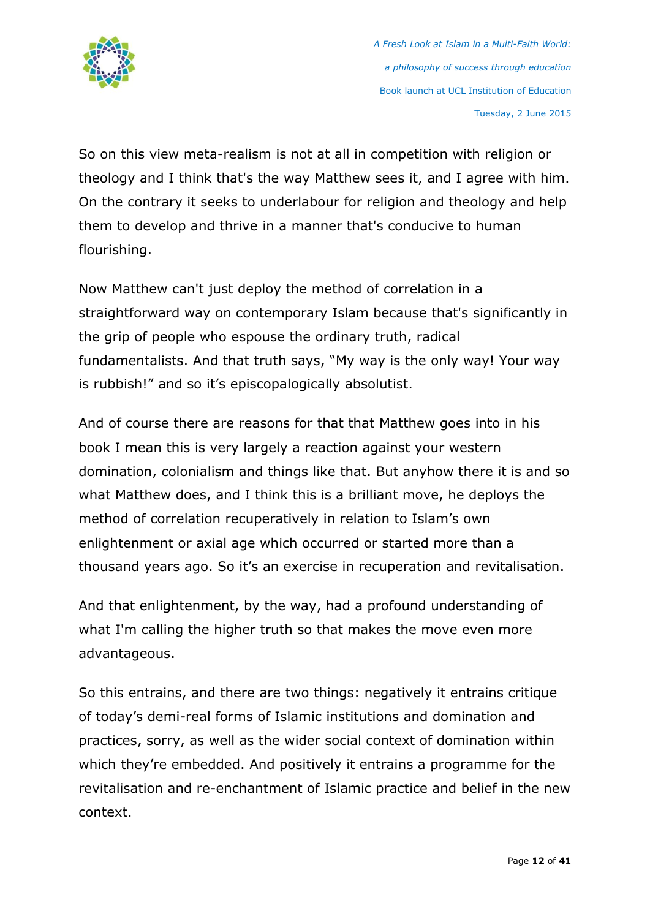

So on this view meta-realism is not at all in competition with religion or theology and I think that's the way Matthew sees it, and I agree with him. On the contrary it seeks to underlabour for religion and theology and help them to develop and thrive in a manner that's conducive to human flourishing.

Now Matthew can't just deploy the method of correlation in a straightforward way on contemporary Islam because that's significantly in the grip of people who espouse the ordinary truth, radical fundamentalists. And that truth says, "My way is the only way! Your way is rubbish!" and so it's episcopalogically absolutist.

And of course there are reasons for that that Matthew goes into in his book I mean this is very largely a reaction against your western domination, colonialism and things like that. But anyhow there it is and so what Matthew does, and I think this is a brilliant move, he deploys the method of correlation recuperatively in relation to Islam's own enlightenment or axial age which occurred or started more than a thousand years ago. So it's an exercise in recuperation and revitalisation.

And that enlightenment, by the way, had a profound understanding of what I'm calling the higher truth so that makes the move even more advantageous.

So this entrains, and there are two things: negatively it entrains critique of today's demi-real forms of Islamic institutions and domination and practices, sorry, as well as the wider social context of domination within which they're embedded. And positively it entrains a programme for the revitalisation and re-enchantment of Islamic practice and belief in the new context.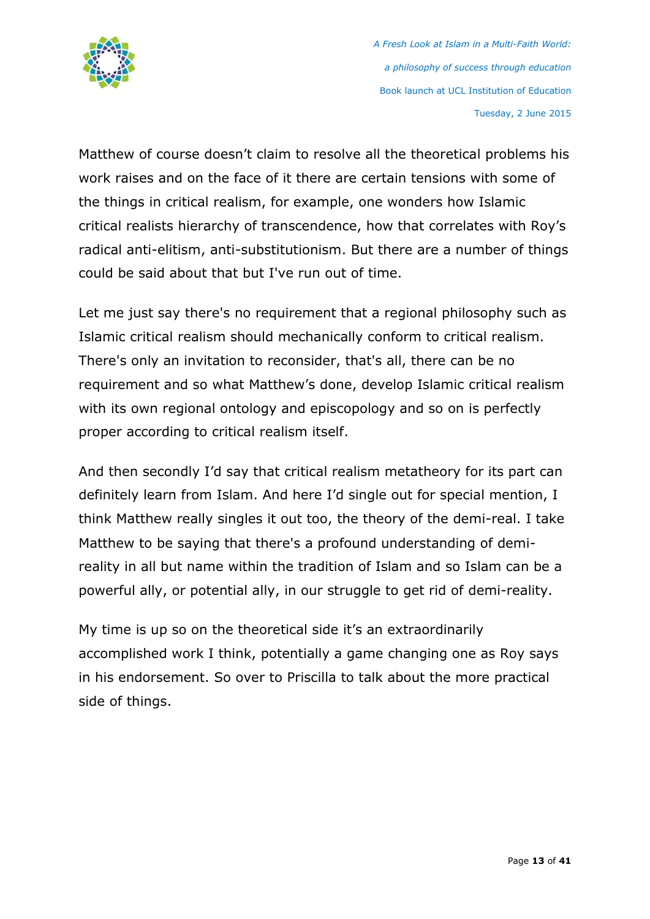

Matthew of course doesn't claim to resolve all the theoretical problems his work raises and on the face of it there are certain tensions with some of the things in critical realism, for example, one wonders how Islamic critical realists hierarchy of transcendence, how that correlates with Roy's radical anti-elitism, anti-substitutionism. But there are a number of things could be said about that but I've run out of time.

Let me just say there's no requirement that a regional philosophy such as Islamic critical realism should mechanically conform to critical realism. There's only an invitation to reconsider, that's all, there can be no requirement and so what Matthew's done, develop Islamic critical realism with its own regional ontology and episcopology and so on is perfectly proper according to critical realism itself.

And then secondly I'd say that critical realism metatheory for its part can definitely learn from Islam. And here I'd single out for special mention, I think Matthew really singles it out too, the theory of the demi-real. I take Matthew to be saying that there's a profound understanding of demireality in all but name within the tradition of Islam and so Islam can be a powerful ally, or potential ally, in our struggle to get rid of demi-reality.

My time is up so on the theoretical side it's an extraordinarily accomplished work I think, potentially a game changing one as Roy says in his endorsement. So over to Priscilla to talk about the more practical side of things.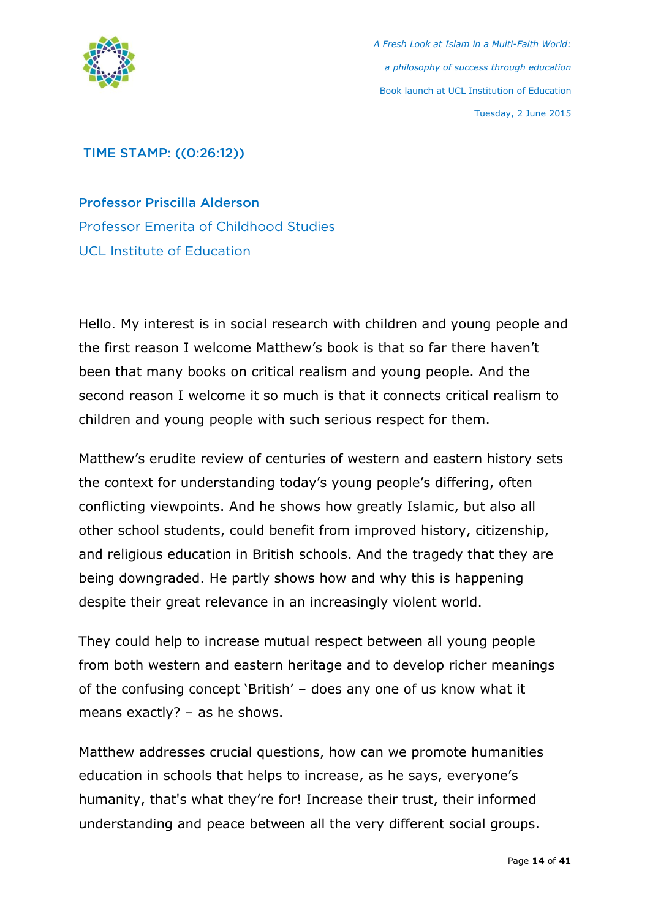

# TIME STAMP: ((0:26:12))

Professor Priscilla Alderson Professor Emerita of Childhood Studies UCL Institute of Education

Hello. My interest is in social research with children and young people and the first reason I welcome Matthew's book is that so far there haven't been that many books on critical realism and young people. And the second reason I welcome it so much is that it connects critical realism to children and young people with such serious respect for them.

Matthew's erudite review of centuries of western and eastern history sets the context for understanding today's young people's differing, often conflicting viewpoints. And he shows how greatly Islamic, but also all other school students, could benefit from improved history, citizenship, and religious education in British schools. And the tragedy that they are being downgraded. He partly shows how and why this is happening despite their great relevance in an increasingly violent world.

They could help to increase mutual respect between all young people from both western and eastern heritage and to develop richer meanings of the confusing concept 'British' – does any one of us know what it means exactly? – as he shows.

Matthew addresses crucial questions, how can we promote humanities education in schools that helps to increase, as he says, everyone's humanity, that's what they're for! Increase their trust, their informed understanding and peace between all the very different social groups.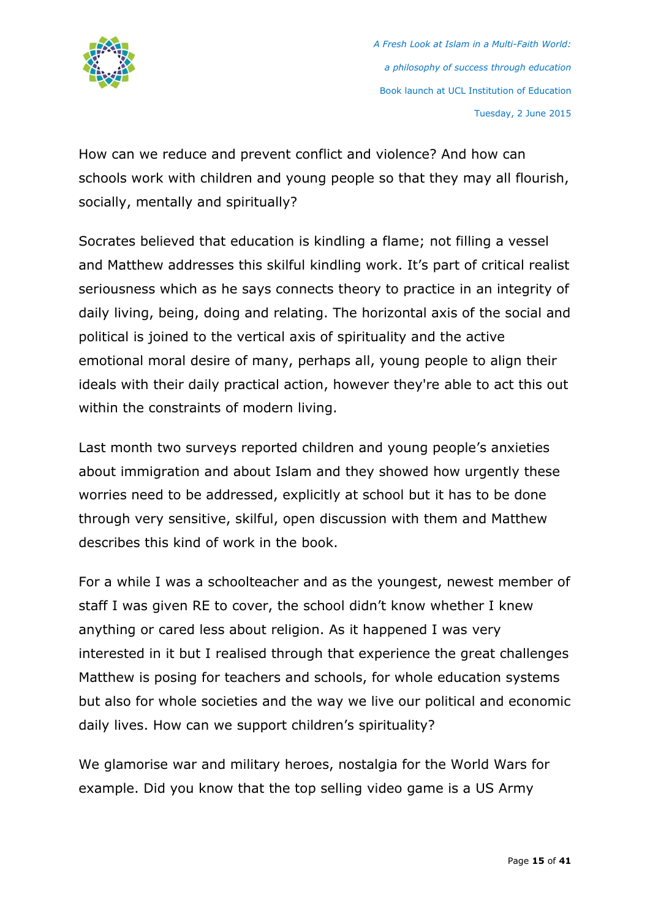

How can we reduce and prevent conflict and violence? And how can schools work with children and young people so that they may all flourish, socially, mentally and spiritually?

Socrates believed that education is kindling a flame; not filling a vessel and Matthew addresses this skilful kindling work. It's part of critical realist seriousness which as he says connects theory to practice in an integrity of daily living, being, doing and relating. The horizontal axis of the social and political is joined to the vertical axis of spirituality and the active emotional moral desire of many, perhaps all, young people to align their ideals with their daily practical action, however they're able to act this out within the constraints of modern living.

Last month two surveys reported children and young people's anxieties about immigration and about Islam and they showed how urgently these worries need to be addressed, explicitly at school but it has to be done through very sensitive, skilful, open discussion with them and Matthew describes this kind of work in the book.

For a while I was a schoolteacher and as the youngest, newest member of staff I was given RE to cover, the school didn't know whether I knew anything or cared less about religion. As it happened I was very interested in it but I realised through that experience the great challenges Matthew is posing for teachers and schools, for whole education systems but also for whole societies and the way we live our political and economic daily lives. How can we support children's spirituality?

We glamorise war and military heroes, nostalgia for the World Wars for example. Did you know that the top selling video game is a US Army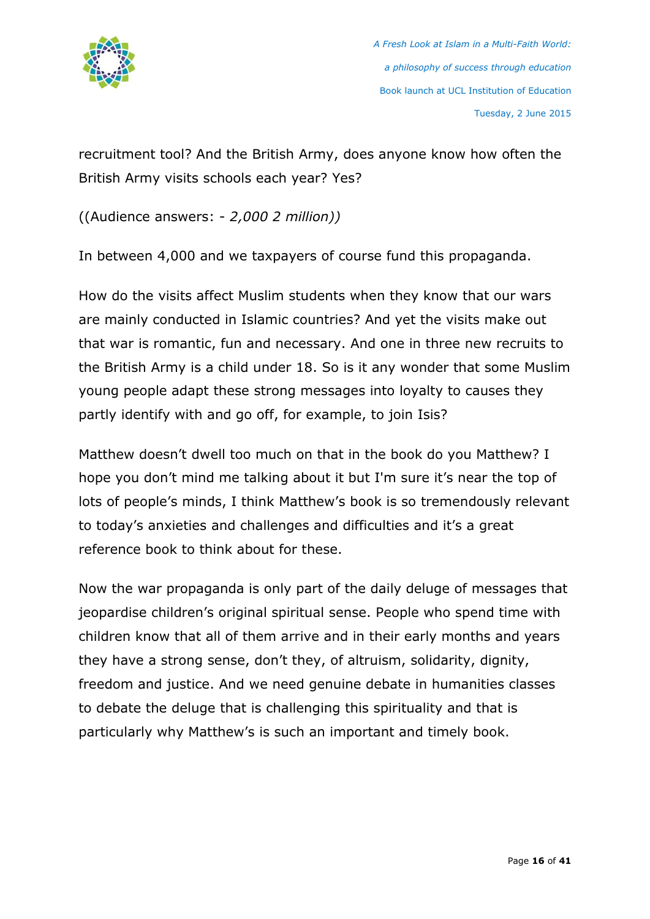

recruitment tool? And the British Army, does anyone know how often the British Army visits schools each year? Yes?

((Audience answers: - *2,000 2 million))*

In between 4,000 and we taxpayers of course fund this propaganda.

How do the visits affect Muslim students when they know that our wars are mainly conducted in Islamic countries? And yet the visits make out that war is romantic, fun and necessary. And one in three new recruits to the British Army is a child under 18. So is it any wonder that some Muslim young people adapt these strong messages into loyalty to causes they partly identify with and go off, for example, to join Isis?

Matthew doesn't dwell too much on that in the book do you Matthew? I hope you don't mind me talking about it but I'm sure it's near the top of lots of people's minds, I think Matthew's book is so tremendously relevant to today's anxieties and challenges and difficulties and it's a great reference book to think about for these.

Now the war propaganda is only part of the daily deluge of messages that jeopardise children's original spiritual sense. People who spend time with children know that all of them arrive and in their early months and years they have a strong sense, don't they, of altruism, solidarity, dignity, freedom and justice. And we need genuine debate in humanities classes to debate the deluge that is challenging this spirituality and that is particularly why Matthew's is such an important and timely book.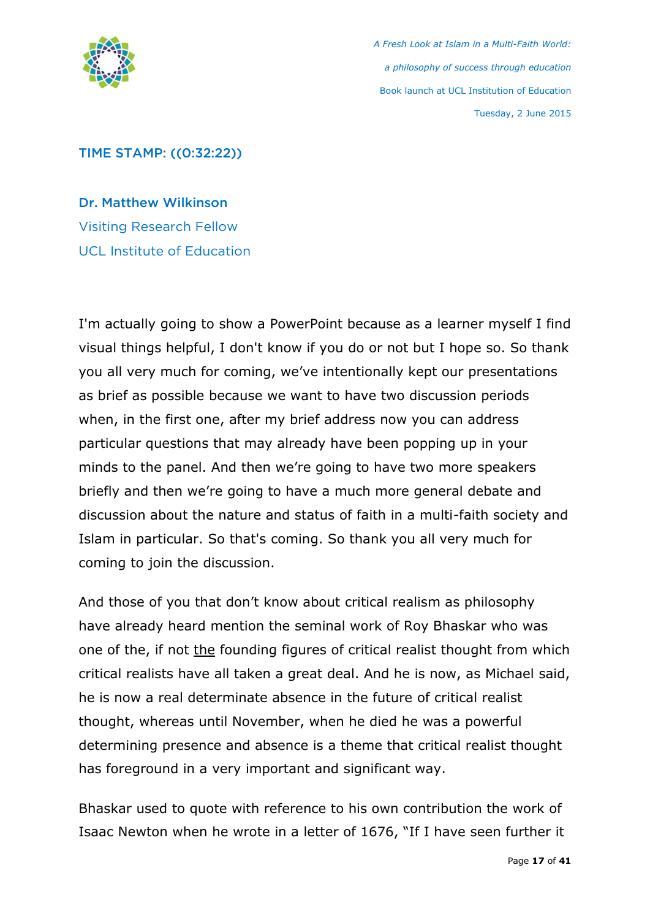

### TIME STAMP: ((0:32:22))

Dr. Matthew Wilkinson Visiting Research Fellow UCL Institute of Education

I'm actually going to show a PowerPoint because as a learner myself I find visual things helpful, I don't know if you do or not but I hope so. So thank you all very much for coming, we've intentionally kept our presentations as brief as possible because we want to have two discussion periods when, in the first one, after my brief address now you can address particular questions that may already have been popping up in your minds to the panel. And then we're going to have two more speakers briefly and then we're going to have a much more general debate and discussion about the nature and status of faith in a multi-faith society and Islam in particular. So that's coming. So thank you all very much for coming to join the discussion.

And those of you that don't know about critical realism as philosophy have already heard mention the seminal work of Roy Bhaskar who was one of the, if not the founding figures of critical realist thought from which critical realists have all taken a great deal. And he is now, as Michael said, he is now a real determinate absence in the future of critical realist thought, whereas until November, when he died he was a powerful determining presence and absence is a theme that critical realist thought has foreground in a very important and significant way.

Bhaskar used to quote with reference to his own contribution the work of Isaac Newton when he wrote in a letter of 1676, "If I have seen further it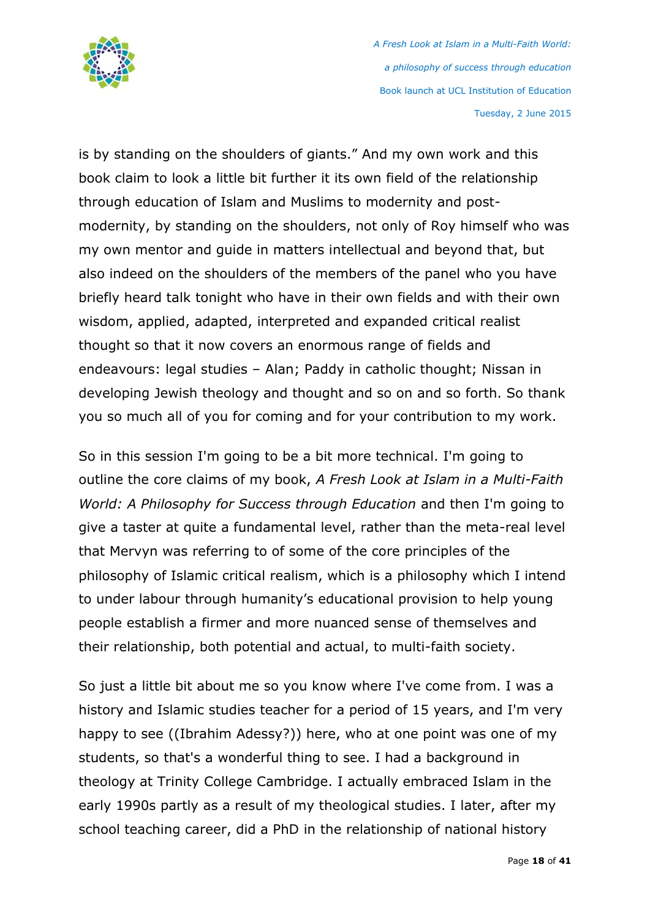

is by standing on the shoulders of giants." And my own work and this book claim to look a little bit further it its own field of the relationship through education of Islam and Muslims to modernity and postmodernity, by standing on the shoulders, not only of Roy himself who was my own mentor and guide in matters intellectual and beyond that, but also indeed on the shoulders of the members of the panel who you have briefly heard talk tonight who have in their own fields and with their own wisdom, applied, adapted, interpreted and expanded critical realist thought so that it now covers an enormous range of fields and endeavours: legal studies – Alan; Paddy in catholic thought; Nissan in developing Jewish theology and thought and so on and so forth. So thank you so much all of you for coming and for your contribution to my work.

So in this session I'm going to be a bit more technical. I'm going to outline the core claims of my book, *A Fresh Look at Islam in a Multi-Faith World: A Philosophy for Success through Education* and then I'm going to give a taster at quite a fundamental level, rather than the meta-real level that Mervyn was referring to of some of the core principles of the philosophy of Islamic critical realism, which is a philosophy which I intend to under labour through humanity's educational provision to help young people establish a firmer and more nuanced sense of themselves and their relationship, both potential and actual, to multi-faith society.

So just a little bit about me so you know where I've come from. I was a history and Islamic studies teacher for a period of 15 years, and I'm very happy to see ((Ibrahim Adessy?)) here, who at one point was one of my students, so that's a wonderful thing to see. I had a background in theology at Trinity College Cambridge. I actually embraced Islam in the early 1990s partly as a result of my theological studies. I later, after my school teaching career, did a PhD in the relationship of national history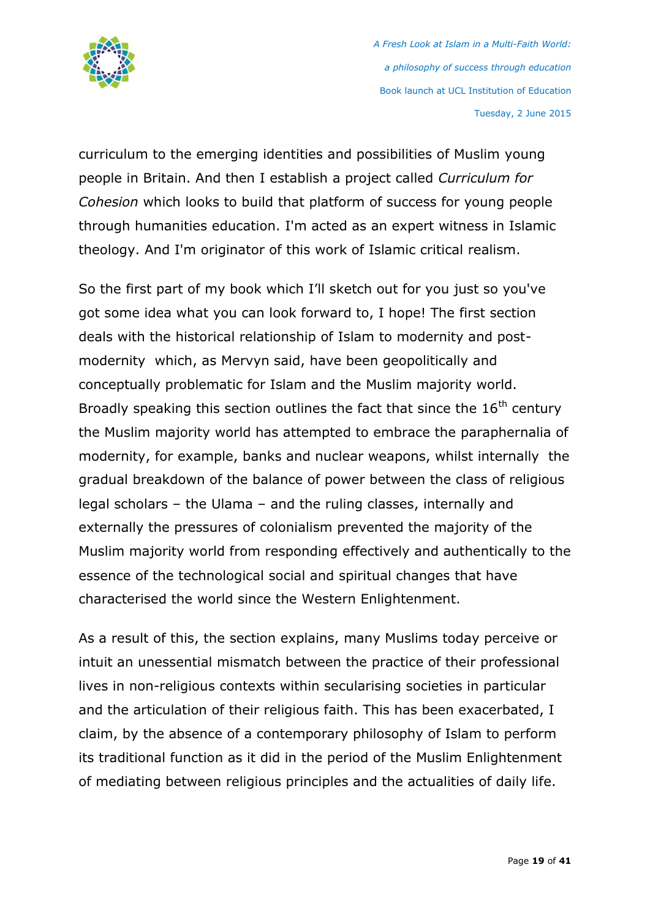

curriculum to the emerging identities and possibilities of Muslim young people in Britain. And then I establish a project called *Curriculum for Cohesion* which looks to build that platform of success for young people through humanities education. I'm acted as an expert witness in Islamic theology. And I'm originator of this work of Islamic critical realism.

So the first part of my book which I'll sketch out for you just so you've got some idea what you can look forward to, I hope! The first section deals with the historical relationship of Islam to modernity and postmodernity which, as Mervyn said, have been geopolitically and conceptually problematic for Islam and the Muslim majority world. Broadly speaking this section outlines the fact that since the  $16<sup>th</sup>$  century the Muslim majority world has attempted to embrace the paraphernalia of modernity, for example, banks and nuclear weapons, whilst internally the gradual breakdown of the balance of power between the class of religious legal scholars – the Ulama – and the ruling classes, internally and externally the pressures of colonialism prevented the majority of the Muslim majority world from responding effectively and authentically to the essence of the technological social and spiritual changes that have characterised the world since the Western Enlightenment.

As a result of this, the section explains, many Muslims today perceive or intuit an unessential mismatch between the practice of their professional lives in non-religious contexts within secularising societies in particular and the articulation of their religious faith. This has been exacerbated, I claim, by the absence of a contemporary philosophy of Islam to perform its traditional function as it did in the period of the Muslim Enlightenment of mediating between religious principles and the actualities of daily life.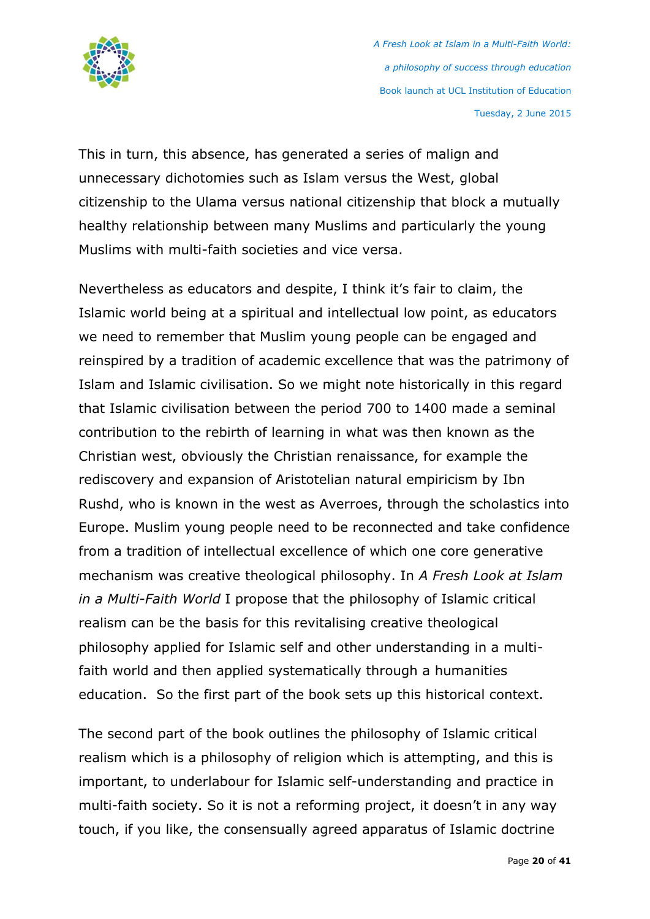

This in turn, this absence, has generated a series of malign and unnecessary dichotomies such as Islam versus the West, global citizenship to the Ulama versus national citizenship that block a mutually healthy relationship between many Muslims and particularly the young Muslims with multi-faith societies and vice versa.

Nevertheless as educators and despite, I think it's fair to claim, the Islamic world being at a spiritual and intellectual low point, as educators we need to remember that Muslim young people can be engaged and reinspired by a tradition of academic excellence that was the patrimony of Islam and Islamic civilisation. So we might note historically in this regard that Islamic civilisation between the period 700 to 1400 made a seminal contribution to the rebirth of learning in what was then known as the Christian west, obviously the Christian renaissance, for example the rediscovery and expansion of Aristotelian natural empiricism by Ibn Rushd, who is known in the west as Averroes, through the scholastics into Europe. Muslim young people need to be reconnected and take confidence from a tradition of intellectual excellence of which one core generative mechanism was creative theological philosophy. In *A Fresh Look at Islam in a Multi-Faith World* I propose that the philosophy of Islamic critical realism can be the basis for this revitalising creative theological philosophy applied for Islamic self and other understanding in a multifaith world and then applied systematically through a humanities education. So the first part of the book sets up this historical context.

The second part of the book outlines the philosophy of Islamic critical realism which is a philosophy of religion which is attempting, and this is important, to underlabour for Islamic self-understanding and practice in multi-faith society. So it is not a reforming project, it doesn't in any way touch, if you like, the consensually agreed apparatus of Islamic doctrine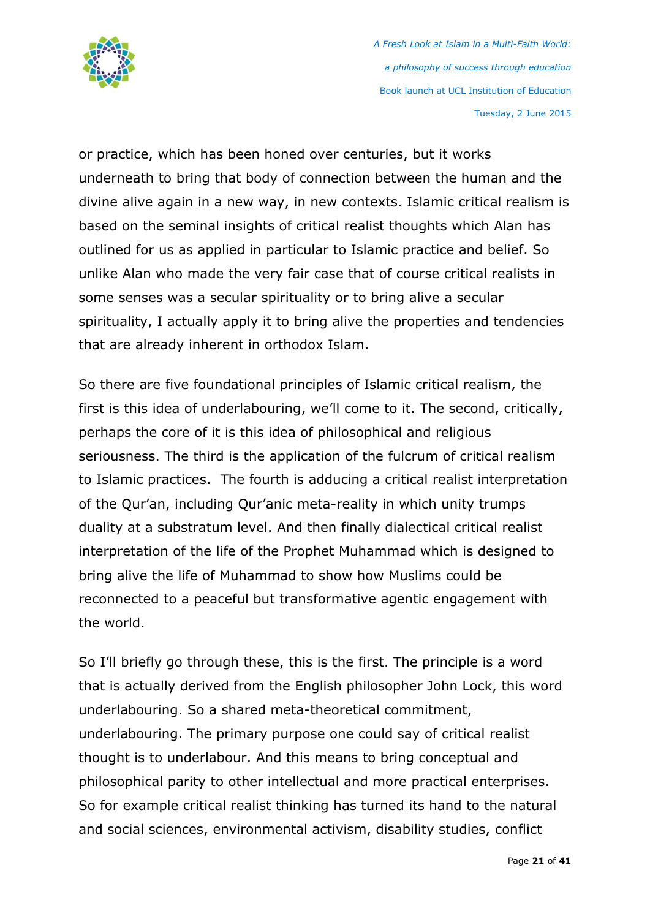

or practice, which has been honed over centuries, but it works underneath to bring that body of connection between the human and the divine alive again in a new way, in new contexts. Islamic critical realism is based on the seminal insights of critical realist thoughts which Alan has outlined for us as applied in particular to Islamic practice and belief. So unlike Alan who made the very fair case that of course critical realists in some senses was a secular spirituality or to bring alive a secular spirituality, I actually apply it to bring alive the properties and tendencies that are already inherent in orthodox Islam.

So there are five foundational principles of Islamic critical realism, the first is this idea of underlabouring, we'll come to it. The second, critically, perhaps the core of it is this idea of philosophical and religious seriousness. The third is the application of the fulcrum of critical realism to Islamic practices. The fourth is adducing a critical realist interpretation of the Qur'an, including Qur'anic meta-reality in which unity trumps duality at a substratum level. And then finally dialectical critical realist interpretation of the life of the Prophet Muhammad which is designed to bring alive the life of Muhammad to show how Muslims could be reconnected to a peaceful but transformative agentic engagement with the world.

So I'll briefly go through these, this is the first. The principle is a word that is actually derived from the English philosopher John Lock, this word underlabouring. So a shared meta-theoretical commitment, underlabouring. The primary purpose one could say of critical realist thought is to underlabour. And this means to bring conceptual and philosophical parity to other intellectual and more practical enterprises. So for example critical realist thinking has turned its hand to the natural and social sciences, environmental activism, disability studies, conflict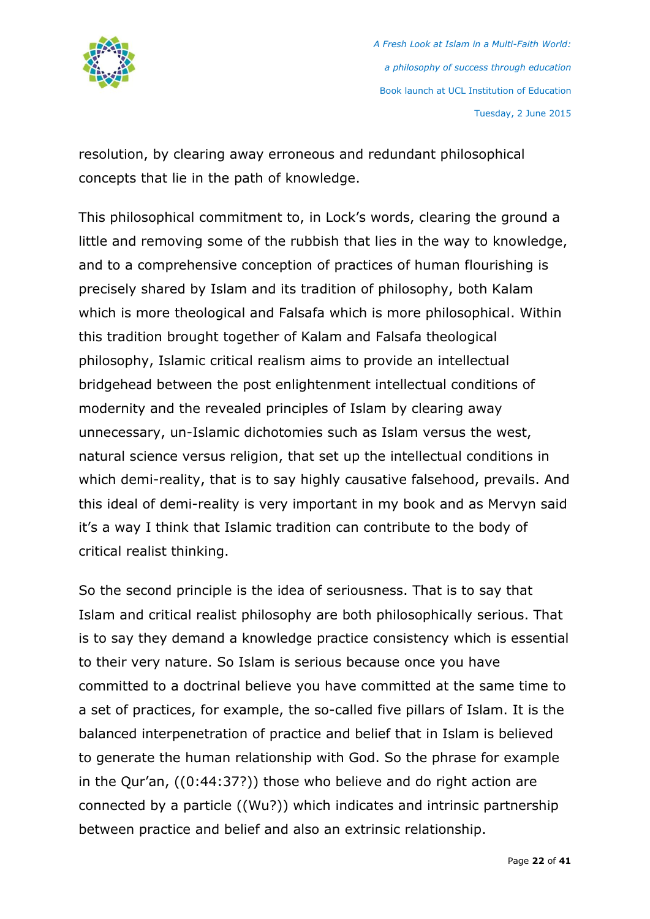

resolution, by clearing away erroneous and redundant philosophical concepts that lie in the path of knowledge.

This philosophical commitment to, in Lock's words, clearing the ground a little and removing some of the rubbish that lies in the way to knowledge, and to a comprehensive conception of practices of human flourishing is precisely shared by Islam and its tradition of philosophy, both Kalam which is more theological and Falsafa which is more philosophical. Within this tradition brought together of Kalam and Falsafa theological philosophy, Islamic critical realism aims to provide an intellectual bridgehead between the post enlightenment intellectual conditions of modernity and the revealed principles of Islam by clearing away unnecessary, un-Islamic dichotomies such as Islam versus the west, natural science versus religion, that set up the intellectual conditions in which demi-reality, that is to say highly causative falsehood, prevails. And this ideal of demi-reality is very important in my book and as Mervyn said it's a way I think that Islamic tradition can contribute to the body of critical realist thinking.

So the second principle is the idea of seriousness. That is to say that Islam and critical realist philosophy are both philosophically serious. That is to say they demand a knowledge practice consistency which is essential to their very nature. So Islam is serious because once you have committed to a doctrinal believe you have committed at the same time to a set of practices, for example, the so-called five pillars of Islam. It is the balanced interpenetration of practice and belief that in Islam is believed to generate the human relationship with God. So the phrase for example in the Qur'an, ((0:44:37?)) those who believe and do right action are connected by a particle ((Wu?)) which indicates and intrinsic partnership between practice and belief and also an extrinsic relationship.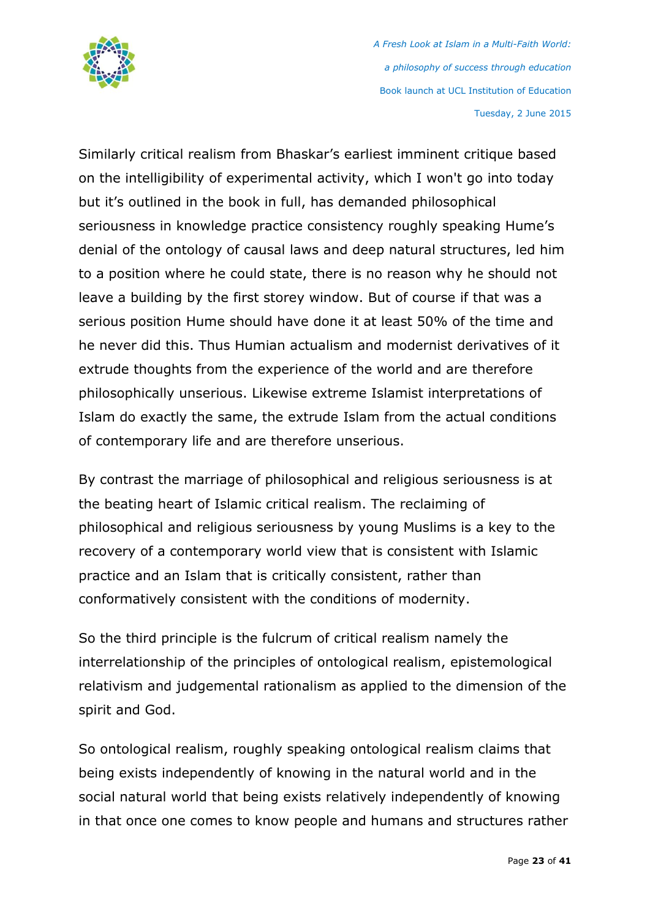

Similarly critical realism from Bhaskar's earliest imminent critique based on the intelligibility of experimental activity, which I won't go into today but it's outlined in the book in full, has demanded philosophical seriousness in knowledge practice consistency roughly speaking Hume's denial of the ontology of causal laws and deep natural structures, led him to a position where he could state, there is no reason why he should not leave a building by the first storey window. But of course if that was a serious position Hume should have done it at least 50% of the time and he never did this. Thus Humian actualism and modernist derivatives of it extrude thoughts from the experience of the world and are therefore philosophically unserious. Likewise extreme Islamist interpretations of Islam do exactly the same, the extrude Islam from the actual conditions of contemporary life and are therefore unserious.

By contrast the marriage of philosophical and religious seriousness is at the beating heart of Islamic critical realism. The reclaiming of philosophical and religious seriousness by young Muslims is a key to the recovery of a contemporary world view that is consistent with Islamic practice and an Islam that is critically consistent, rather than conformatively consistent with the conditions of modernity.

So the third principle is the fulcrum of critical realism namely the interrelationship of the principles of ontological realism, epistemological relativism and judgemental rationalism as applied to the dimension of the spirit and God.

So ontological realism, roughly speaking ontological realism claims that being exists independently of knowing in the natural world and in the social natural world that being exists relatively independently of knowing in that once one comes to know people and humans and structures rather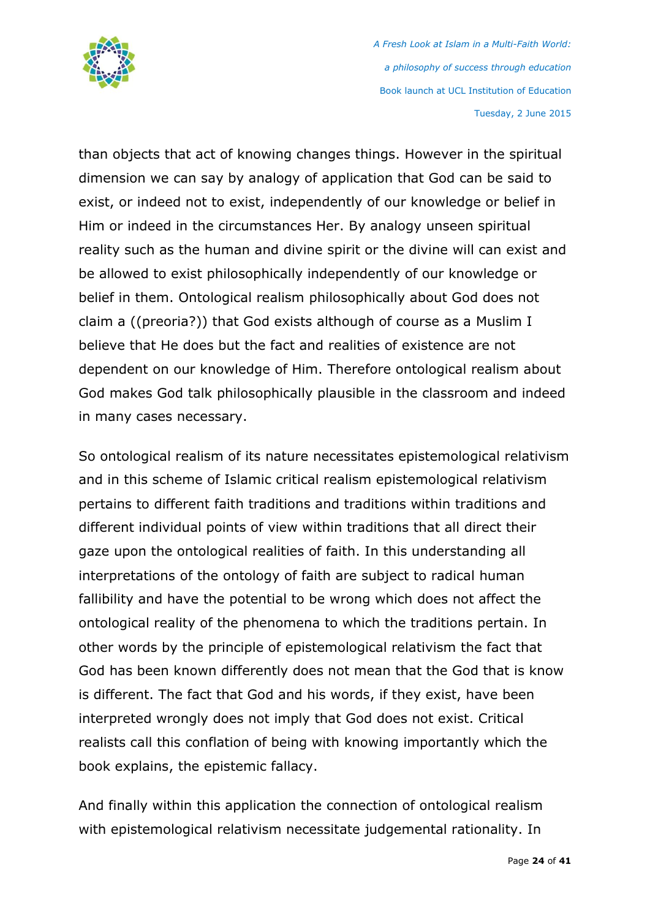

than objects that act of knowing changes things. However in the spiritual dimension we can say by analogy of application that God can be said to exist, or indeed not to exist, independently of our knowledge or belief in Him or indeed in the circumstances Her. By analogy unseen spiritual reality such as the human and divine spirit or the divine will can exist and be allowed to exist philosophically independently of our knowledge or belief in them. Ontological realism philosophically about God does not claim a ((preoria?)) that God exists although of course as a Muslim I believe that He does but the fact and realities of existence are not dependent on our knowledge of Him. Therefore ontological realism about God makes God talk philosophically plausible in the classroom and indeed in many cases necessary.

So ontological realism of its nature necessitates epistemological relativism and in this scheme of Islamic critical realism epistemological relativism pertains to different faith traditions and traditions within traditions and different individual points of view within traditions that all direct their gaze upon the ontological realities of faith. In this understanding all interpretations of the ontology of faith are subject to radical human fallibility and have the potential to be wrong which does not affect the ontological reality of the phenomena to which the traditions pertain. In other words by the principle of epistemological relativism the fact that God has been known differently does not mean that the God that is know is different. The fact that God and his words, if they exist, have been interpreted wrongly does not imply that God does not exist. Critical realists call this conflation of being with knowing importantly which the book explains, the epistemic fallacy.

And finally within this application the connection of ontological realism with epistemological relativism necessitate judgemental rationality. In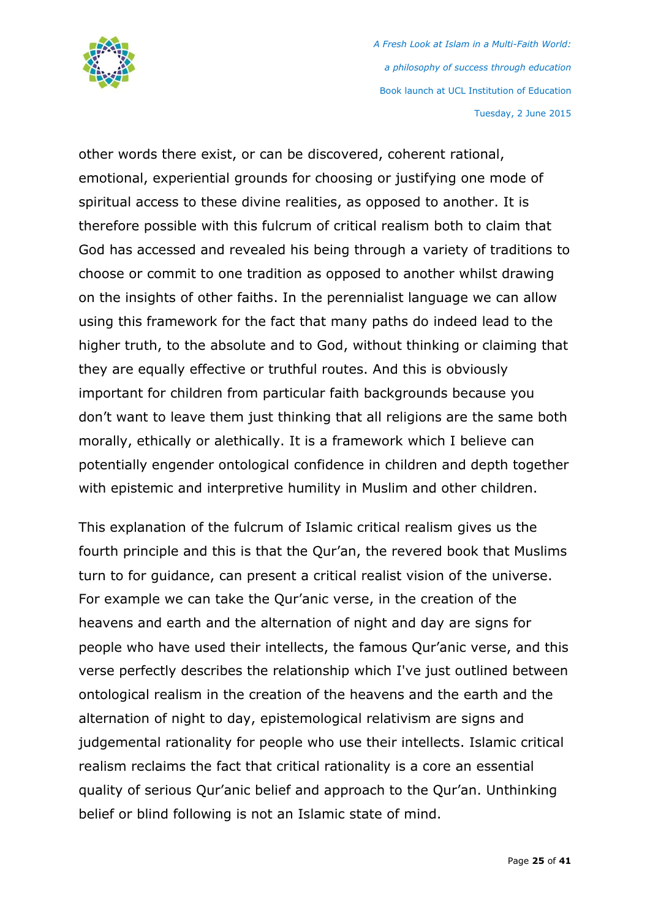

other words there exist, or can be discovered, coherent rational, emotional, experiential grounds for choosing or justifying one mode of spiritual access to these divine realities, as opposed to another. It is therefore possible with this fulcrum of critical realism both to claim that God has accessed and revealed his being through a variety of traditions to choose or commit to one tradition as opposed to another whilst drawing on the insights of other faiths. In the perennialist language we can allow using this framework for the fact that many paths do indeed lead to the higher truth, to the absolute and to God, without thinking or claiming that they are equally effective or truthful routes. And this is obviously important for children from particular faith backgrounds because you don't want to leave them just thinking that all religions are the same both morally, ethically or alethically. It is a framework which I believe can potentially engender ontological confidence in children and depth together with epistemic and interpretive humility in Muslim and other children.

This explanation of the fulcrum of Islamic critical realism gives us the fourth principle and this is that the Qur'an, the revered book that Muslims turn to for guidance, can present a critical realist vision of the universe. For example we can take the Qur'anic verse, in the creation of the heavens and earth and the alternation of night and day are signs for people who have used their intellects, the famous Qur'anic verse, and this verse perfectly describes the relationship which I've just outlined between ontological realism in the creation of the heavens and the earth and the alternation of night to day, epistemological relativism are signs and judgemental rationality for people who use their intellects. Islamic critical realism reclaims the fact that critical rationality is a core an essential quality of serious Qur'anic belief and approach to the Qur'an. Unthinking belief or blind following is not an Islamic state of mind.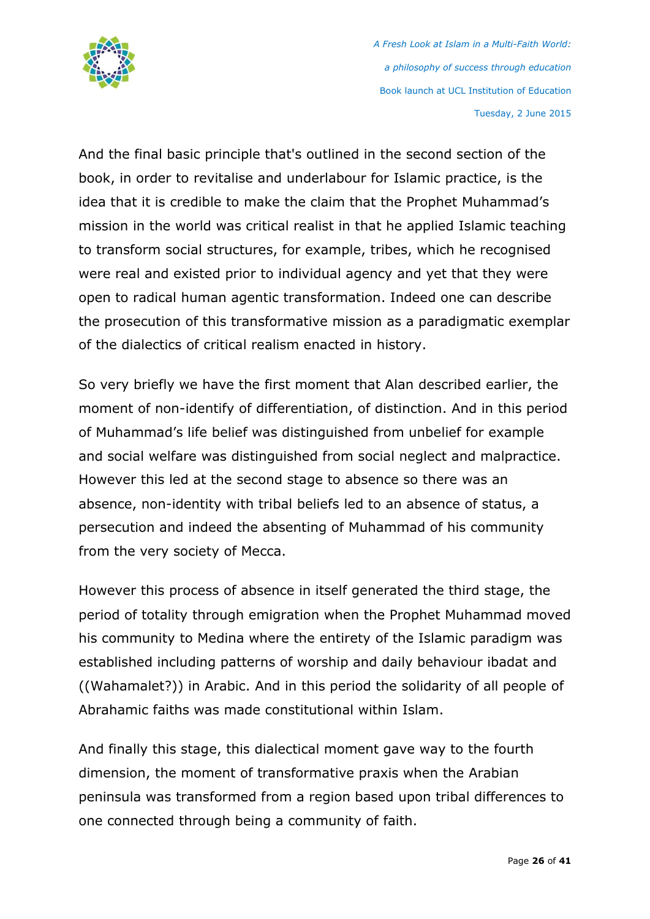

And the final basic principle that's outlined in the second section of the book, in order to revitalise and underlabour for Islamic practice, is the idea that it is credible to make the claim that the Prophet Muhammad's mission in the world was critical realist in that he applied Islamic teaching to transform social structures, for example, tribes, which he recognised were real and existed prior to individual agency and yet that they were open to radical human agentic transformation. Indeed one can describe the prosecution of this transformative mission as a paradigmatic exemplar of the dialectics of critical realism enacted in history.

So very briefly we have the first moment that Alan described earlier, the moment of non-identify of differentiation, of distinction. And in this period of Muhammad's life belief was distinguished from unbelief for example and social welfare was distinguished from social neglect and malpractice. However this led at the second stage to absence so there was an absence, non-identity with tribal beliefs led to an absence of status, a persecution and indeed the absenting of Muhammad of his community from the very society of Mecca.

However this process of absence in itself generated the third stage, the period of totality through emigration when the Prophet Muhammad moved his community to Medina where the entirety of the Islamic paradigm was established including patterns of worship and daily behaviour ibadat and ((Wahamalet?)) in Arabic. And in this period the solidarity of all people of Abrahamic faiths was made constitutional within Islam.

And finally this stage, this dialectical moment gave way to the fourth dimension, the moment of transformative praxis when the Arabian peninsula was transformed from a region based upon tribal differences to one connected through being a community of faith.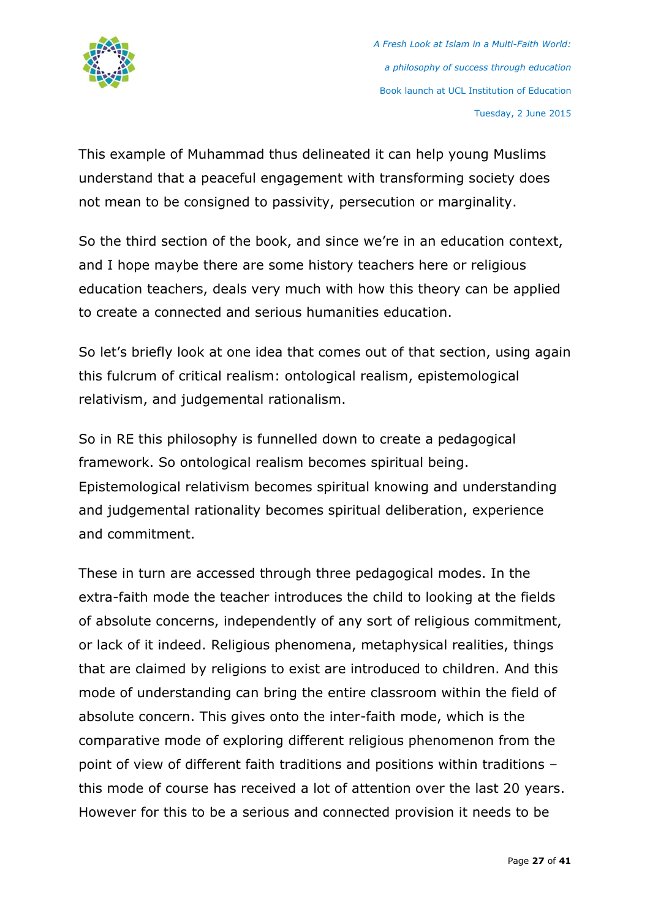

This example of Muhammad thus delineated it can help young Muslims understand that a peaceful engagement with transforming society does not mean to be consigned to passivity, persecution or marginality.

So the third section of the book, and since we're in an education context, and I hope maybe there are some history teachers here or religious education teachers, deals very much with how this theory can be applied to create a connected and serious humanities education.

So let's briefly look at one idea that comes out of that section, using again this fulcrum of critical realism: ontological realism, epistemological relativism, and judgemental rationalism.

So in RE this philosophy is funnelled down to create a pedagogical framework. So ontological realism becomes spiritual being. Epistemological relativism becomes spiritual knowing and understanding and judgemental rationality becomes spiritual deliberation, experience and commitment.

These in turn are accessed through three pedagogical modes. In the extra-faith mode the teacher introduces the child to looking at the fields of absolute concerns, independently of any sort of religious commitment, or lack of it indeed. Religious phenomena, metaphysical realities, things that are claimed by religions to exist are introduced to children. And this mode of understanding can bring the entire classroom within the field of absolute concern. This gives onto the inter-faith mode, which is the comparative mode of exploring different religious phenomenon from the point of view of different faith traditions and positions within traditions – this mode of course has received a lot of attention over the last 20 years. However for this to be a serious and connected provision it needs to be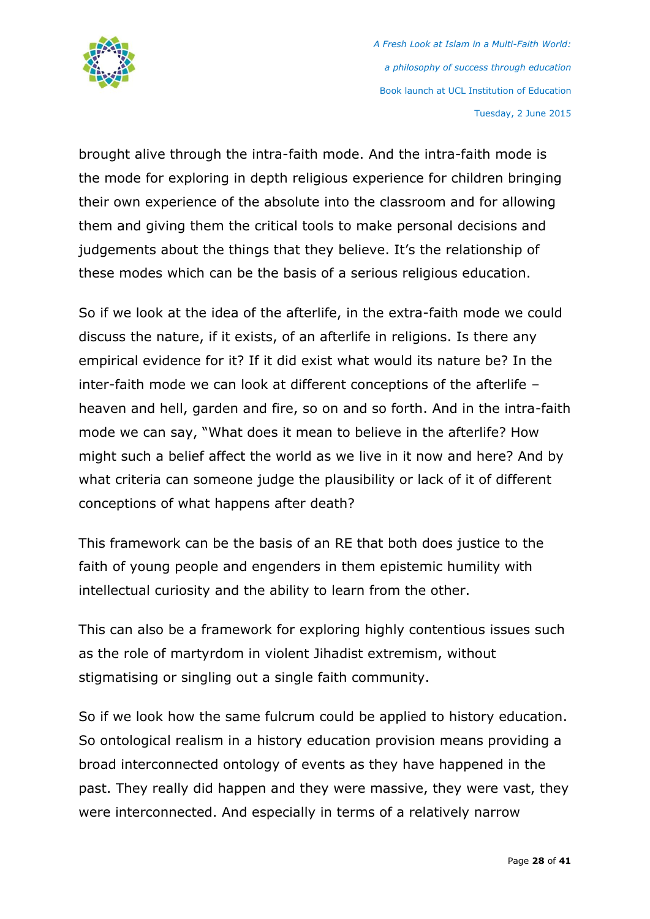

brought alive through the intra-faith mode. And the intra-faith mode is the mode for exploring in depth religious experience for children bringing their own experience of the absolute into the classroom and for allowing them and giving them the critical tools to make personal decisions and judgements about the things that they believe. It's the relationship of these modes which can be the basis of a serious religious education.

So if we look at the idea of the afterlife, in the extra-faith mode we could discuss the nature, if it exists, of an afterlife in religions. Is there any empirical evidence for it? If it did exist what would its nature be? In the inter-faith mode we can look at different conceptions of the afterlife – heaven and hell, garden and fire, so on and so forth. And in the intra-faith mode we can say, "What does it mean to believe in the afterlife? How might such a belief affect the world as we live in it now and here? And by what criteria can someone judge the plausibility or lack of it of different conceptions of what happens after death?

This framework can be the basis of an RE that both does justice to the faith of young people and engenders in them epistemic humility with intellectual curiosity and the ability to learn from the other.

This can also be a framework for exploring highly contentious issues such as the role of martyrdom in violent Jihadist extremism, without stigmatising or singling out a single faith community.

So if we look how the same fulcrum could be applied to history education. So ontological realism in a history education provision means providing a broad interconnected ontology of events as they have happened in the past. They really did happen and they were massive, they were vast, they were interconnected. And especially in terms of a relatively narrow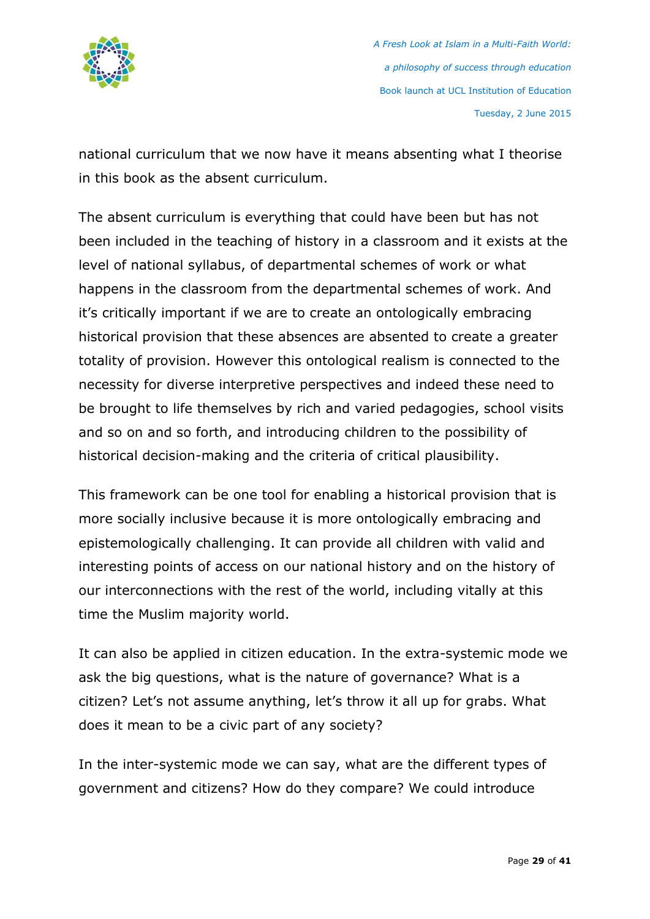

national curriculum that we now have it means absenting what I theorise in this book as the absent curriculum.

The absent curriculum is everything that could have been but has not been included in the teaching of history in a classroom and it exists at the level of national syllabus, of departmental schemes of work or what happens in the classroom from the departmental schemes of work. And it's critically important if we are to create an ontologically embracing historical provision that these absences are absented to create a greater totality of provision. However this ontological realism is connected to the necessity for diverse interpretive perspectives and indeed these need to be brought to life themselves by rich and varied pedagogies, school visits and so on and so forth, and introducing children to the possibility of historical decision-making and the criteria of critical plausibility.

This framework can be one tool for enabling a historical provision that is more socially inclusive because it is more ontologically embracing and epistemologically challenging. It can provide all children with valid and interesting points of access on our national history and on the history of our interconnections with the rest of the world, including vitally at this time the Muslim majority world.

It can also be applied in citizen education. In the extra-systemic mode we ask the big questions, what is the nature of governance? What is a citizen? Let's not assume anything, let's throw it all up for grabs. What does it mean to be a civic part of any society?

In the inter-systemic mode we can say, what are the different types of government and citizens? How do they compare? We could introduce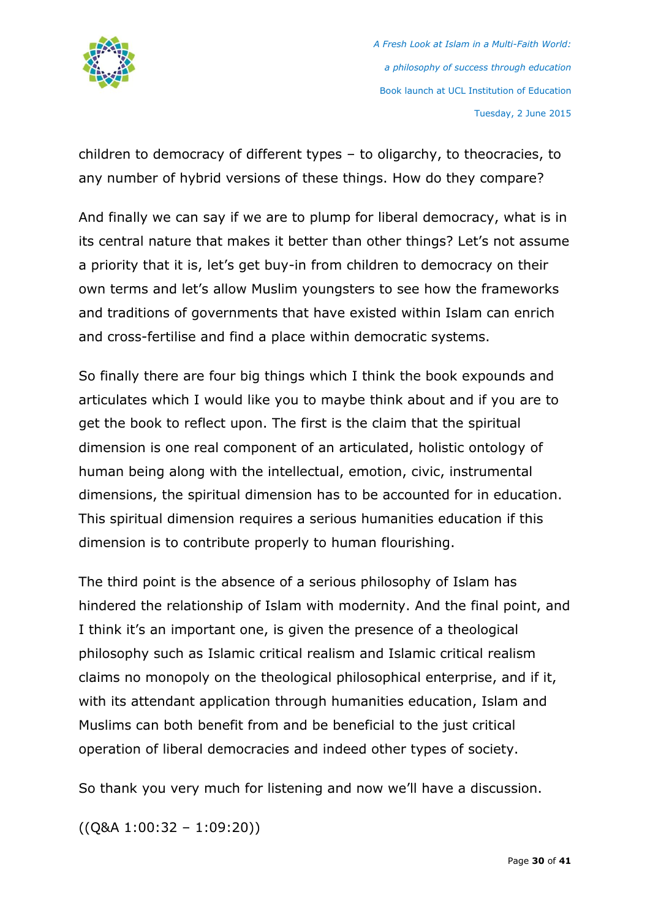

children to democracy of different types – to oligarchy, to theocracies, to any number of hybrid versions of these things. How do they compare?

And finally we can say if we are to plump for liberal democracy, what is in its central nature that makes it better than other things? Let's not assume a priority that it is, let's get buy-in from children to democracy on their own terms and let's allow Muslim youngsters to see how the frameworks and traditions of governments that have existed within Islam can enrich and cross-fertilise and find a place within democratic systems.

So finally there are four big things which I think the book expounds and articulates which I would like you to maybe think about and if you are to get the book to reflect upon. The first is the claim that the spiritual dimension is one real component of an articulated, holistic ontology of human being along with the intellectual, emotion, civic, instrumental dimensions, the spiritual dimension has to be accounted for in education. This spiritual dimension requires a serious humanities education if this dimension is to contribute properly to human flourishing.

The third point is the absence of a serious philosophy of Islam has hindered the relationship of Islam with modernity. And the final point, and I think it's an important one, is given the presence of a theological philosophy such as Islamic critical realism and Islamic critical realism claims no monopoly on the theological philosophical enterprise, and if it, with its attendant application through humanities education, Islam and Muslims can both benefit from and be beneficial to the just critical operation of liberal democracies and indeed other types of society.

So thank you very much for listening and now we'll have a discussion.

((Q&A 1:00:32 – 1:09:20))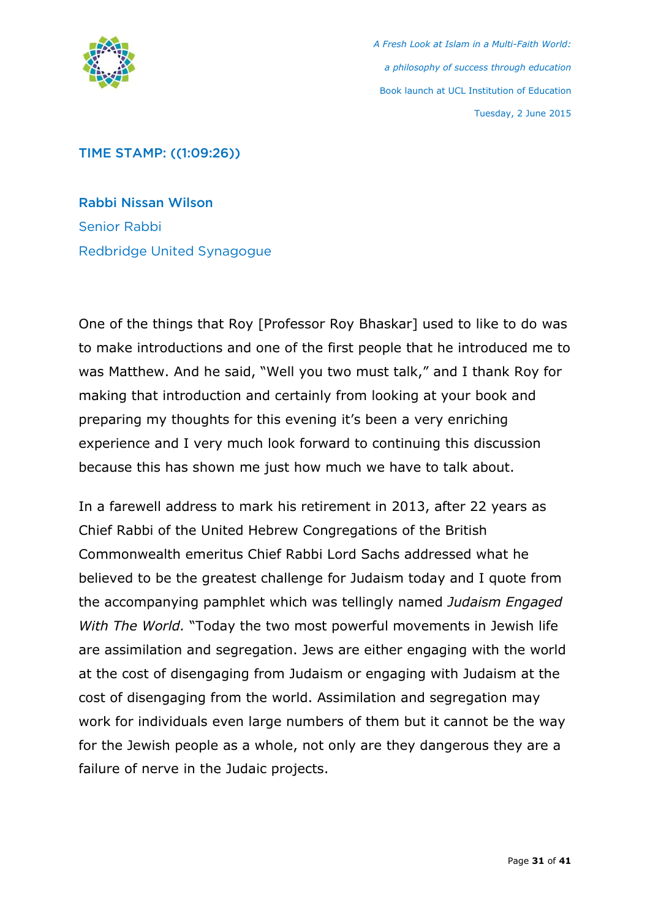

### TIME STAMP: ((1:09:26))

Rabbi Nissan Wilson Senior Rabbi Redbridge United Synagogue

One of the things that Roy [Professor Roy Bhaskar] used to like to do was to make introductions and one of the first people that he introduced me to was Matthew. And he said, "Well you two must talk," and I thank Roy for making that introduction and certainly from looking at your book and preparing my thoughts for this evening it's been a very enriching experience and I very much look forward to continuing this discussion because this has shown me just how much we have to talk about.

In a farewell address to mark his retirement in 2013, after 22 years as Chief Rabbi of the United Hebrew Congregations of the British Commonwealth emeritus Chief Rabbi Lord Sachs addressed what he believed to be the greatest challenge for Judaism today and I quote from the accompanying pamphlet which was tellingly named *Judaism Engaged With The World.* "Today the two most powerful movements in Jewish life are assimilation and segregation. Jews are either engaging with the world at the cost of disengaging from Judaism or engaging with Judaism at the cost of disengaging from the world. Assimilation and segregation may work for individuals even large numbers of them but it cannot be the way for the Jewish people as a whole, not only are they dangerous they are a failure of nerve in the Judaic projects.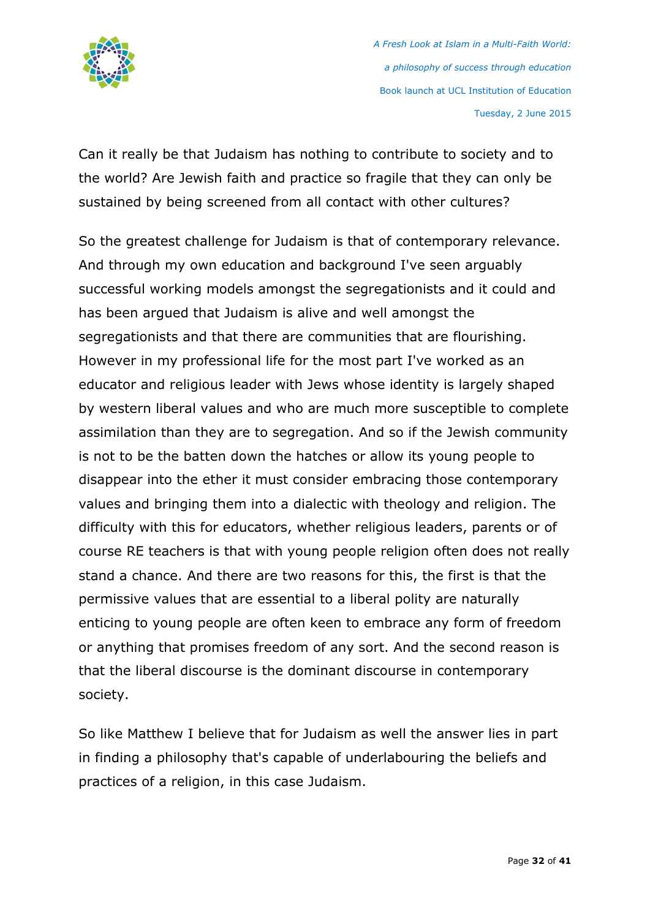

Can it really be that Judaism has nothing to contribute to society and to the world? Are Jewish faith and practice so fragile that they can only be sustained by being screened from all contact with other cultures?

So the greatest challenge for Judaism is that of contemporary relevance. And through my own education and background I've seen arguably successful working models amongst the segregationists and it could and has been argued that Judaism is alive and well amongst the segregationists and that there are communities that are flourishing. However in my professional life for the most part I've worked as an educator and religious leader with Jews whose identity is largely shaped by western liberal values and who are much more susceptible to complete assimilation than they are to segregation. And so if the Jewish community is not to be the batten down the hatches or allow its young people to disappear into the ether it must consider embracing those contemporary values and bringing them into a dialectic with theology and religion. The difficulty with this for educators, whether religious leaders, parents or of course RE teachers is that with young people religion often does not really stand a chance. And there are two reasons for this, the first is that the permissive values that are essential to a liberal polity are naturally enticing to young people are often keen to embrace any form of freedom or anything that promises freedom of any sort. And the second reason is that the liberal discourse is the dominant discourse in contemporary society.

So like Matthew I believe that for Judaism as well the answer lies in part in finding a philosophy that's capable of underlabouring the beliefs and practices of a religion, in this case Judaism.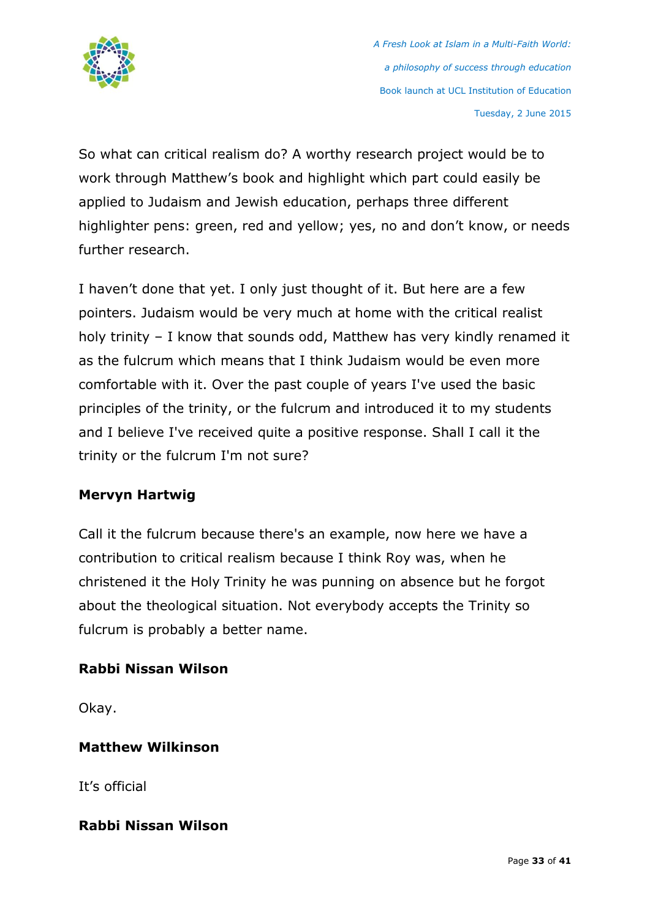

So what can critical realism do? A worthy research project would be to work through Matthew's book and highlight which part could easily be applied to Judaism and Jewish education, perhaps three different highlighter pens: green, red and yellow; yes, no and don't know, or needs further research.

I haven't done that yet. I only just thought of it. But here are a few pointers. Judaism would be very much at home with the critical realist holy trinity – I know that sounds odd, Matthew has very kindly renamed it as the fulcrum which means that I think Judaism would be even more comfortable with it. Over the past couple of years I've used the basic principles of the trinity, or the fulcrum and introduced it to my students and I believe I've received quite a positive response. Shall I call it the trinity or the fulcrum I'm not sure?

# **Mervyn Hartwig**

Call it the fulcrum because there's an example, now here we have a contribution to critical realism because I think Roy was, when he christened it the Holy Trinity he was punning on absence but he forgot about the theological situation. Not everybody accepts the Trinity so fulcrum is probably a better name.

# **Rabbi Nissan Wilson**

Okay.

# **Matthew Wilkinson**

It's official

# **Rabbi Nissan Wilson**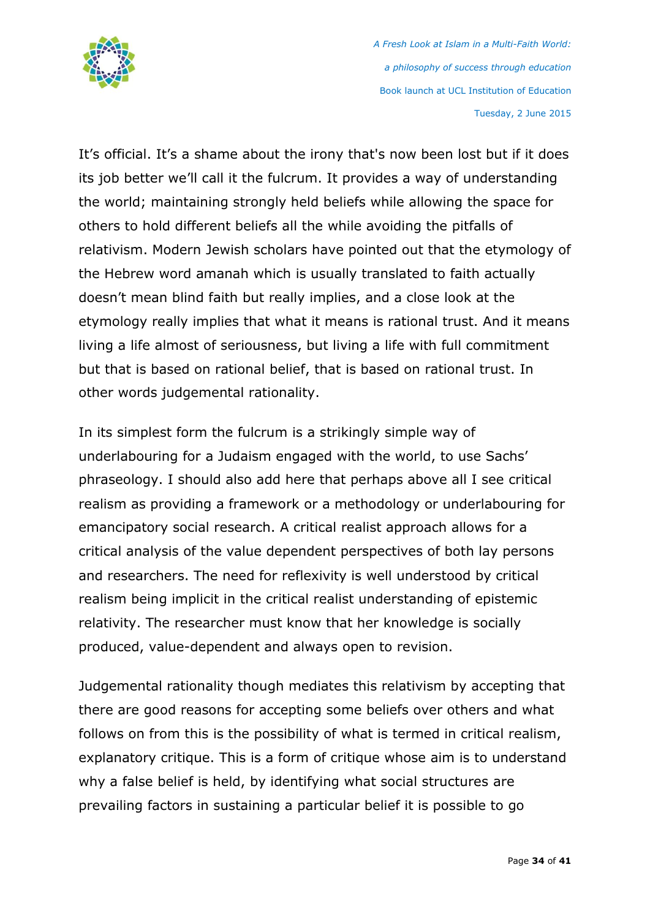

It's official. It's a shame about the irony that's now been lost but if it does its job better we'll call it the fulcrum. It provides a way of understanding the world; maintaining strongly held beliefs while allowing the space for others to hold different beliefs all the while avoiding the pitfalls of relativism. Modern Jewish scholars have pointed out that the etymology of the Hebrew word amanah which is usually translated to faith actually doesn't mean blind faith but really implies, and a close look at the etymology really implies that what it means is rational trust. And it means living a life almost of seriousness, but living a life with full commitment but that is based on rational belief, that is based on rational trust. In other words judgemental rationality.

In its simplest form the fulcrum is a strikingly simple way of underlabouring for a Judaism engaged with the world, to use Sachs' phraseology. I should also add here that perhaps above all I see critical realism as providing a framework or a methodology or underlabouring for emancipatory social research. A critical realist approach allows for a critical analysis of the value dependent perspectives of both lay persons and researchers. The need for reflexivity is well understood by critical realism being implicit in the critical realist understanding of epistemic relativity. The researcher must know that her knowledge is socially produced, value-dependent and always open to revision.

Judgemental rationality though mediates this relativism by accepting that there are good reasons for accepting some beliefs over others and what follows on from this is the possibility of what is termed in critical realism, explanatory critique. This is a form of critique whose aim is to understand why a false belief is held, by identifying what social structures are prevailing factors in sustaining a particular belief it is possible to go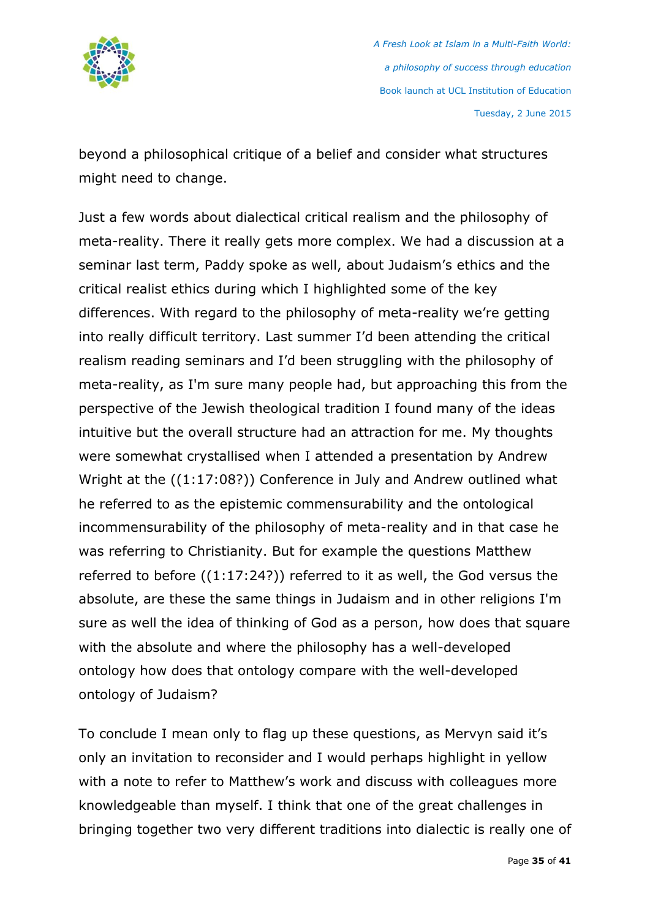

beyond a philosophical critique of a belief and consider what structures might need to change.

Just a few words about dialectical critical realism and the philosophy of meta-reality. There it really gets more complex. We had a discussion at a seminar last term, Paddy spoke as well, about Judaism's ethics and the critical realist ethics during which I highlighted some of the key differences. With regard to the philosophy of meta-reality we're getting into really difficult territory. Last summer I'd been attending the critical realism reading seminars and I'd been struggling with the philosophy of meta-reality, as I'm sure many people had, but approaching this from the perspective of the Jewish theological tradition I found many of the ideas intuitive but the overall structure had an attraction for me. My thoughts were somewhat crystallised when I attended a presentation by Andrew Wright at the ((1:17:08?)) Conference in July and Andrew outlined what he referred to as the epistemic commensurability and the ontological incommensurability of the philosophy of meta-reality and in that case he was referring to Christianity. But for example the questions Matthew referred to before ((1:17:24?)) referred to it as well, the God versus the absolute, are these the same things in Judaism and in other religions I'm sure as well the idea of thinking of God as a person, how does that square with the absolute and where the philosophy has a well-developed ontology how does that ontology compare with the well-developed ontology of Judaism?

To conclude I mean only to flag up these questions, as Mervyn said it's only an invitation to reconsider and I would perhaps highlight in yellow with a note to refer to Matthew's work and discuss with colleagues more knowledgeable than myself. I think that one of the great challenges in bringing together two very different traditions into dialectic is really one of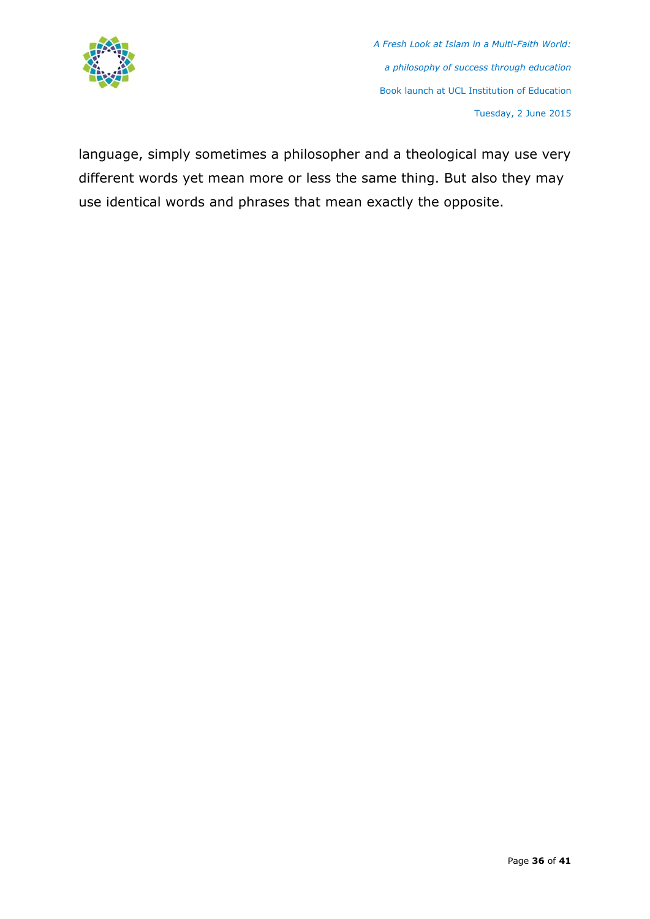

language, simply sometimes a philosopher and a theological may use very different words yet mean more or less the same thing. But also they may use identical words and phrases that mean exactly the opposite.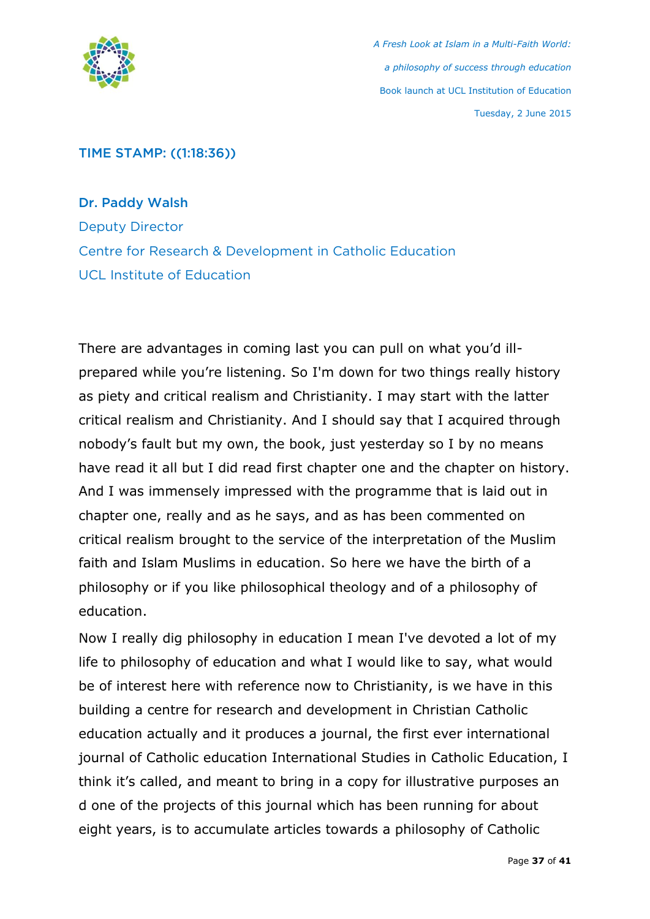

# TIME STAMP: ((1:18:36))

Dr. Paddy Walsh Deputy Director Centre for Research & Development in Catholic Education UCL Institute of Education

There are advantages in coming last you can pull on what you'd illprepared while you're listening. So I'm down for two things really history as piety and critical realism and Christianity. I may start with the latter critical realism and Christianity. And I should say that I acquired through nobody's fault but my own, the book, just yesterday so I by no means have read it all but I did read first chapter one and the chapter on history. And I was immensely impressed with the programme that is laid out in chapter one, really and as he says, and as has been commented on critical realism brought to the service of the interpretation of the Muslim faith and Islam Muslims in education. So here we have the birth of a philosophy or if you like philosophical theology and of a philosophy of education.

Now I really dig philosophy in education I mean I've devoted a lot of my life to philosophy of education and what I would like to say, what would be of interest here with reference now to Christianity, is we have in this building a centre for research and development in Christian Catholic education actually and it produces a journal, the first ever international journal of Catholic education International Studies in Catholic Education, I think it's called, and meant to bring in a copy for illustrative purposes an d one of the projects of this journal which has been running for about eight years, is to accumulate articles towards a philosophy of Catholic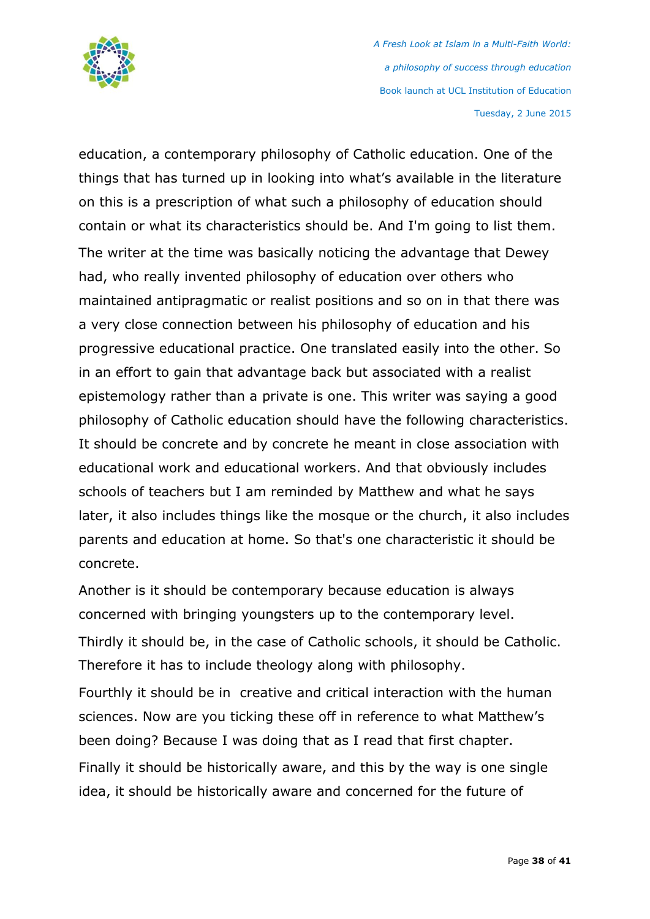

education, a contemporary philosophy of Catholic education. One of the things that has turned up in looking into what's available in the literature on this is a prescription of what such a philosophy of education should contain or what its characteristics should be. And I'm going to list them. The writer at the time was basically noticing the advantage that Dewey had, who really invented philosophy of education over others who maintained antipragmatic or realist positions and so on in that there was a very close connection between his philosophy of education and his progressive educational practice. One translated easily into the other. So in an effort to gain that advantage back but associated with a realist epistemology rather than a private is one. This writer was saying a good philosophy of Catholic education should have the following characteristics. It should be concrete and by concrete he meant in close association with educational work and educational workers. And that obviously includes schools of teachers but I am reminded by Matthew and what he says later, it also includes things like the mosque or the church, it also includes parents and education at home. So that's one characteristic it should be concrete.

Another is it should be contemporary because education is always concerned with bringing youngsters up to the contemporary level. Thirdly it should be, in the case of Catholic schools, it should be Catholic. Therefore it has to include theology along with philosophy. Fourthly it should be in creative and critical interaction with the human sciences. Now are you ticking these off in reference to what Matthew's been doing? Because I was doing that as I read that first chapter. Finally it should be historically aware, and this by the way is one single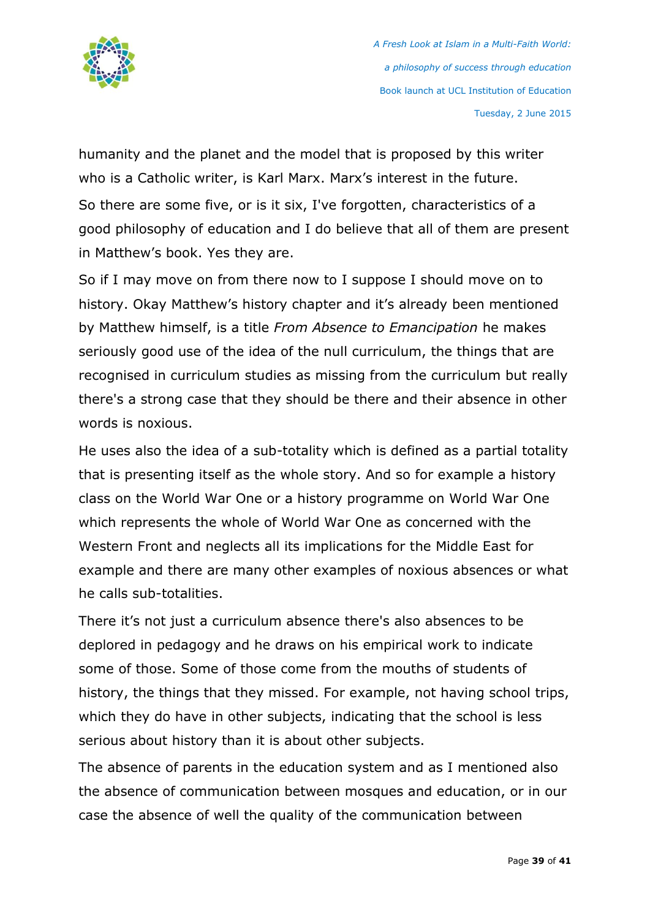

humanity and the planet and the model that is proposed by this writer who is a Catholic writer, is Karl Marx. Marx's interest in the future. So there are some five, or is it six, I've forgotten, characteristics of a good philosophy of education and I do believe that all of them are present in Matthew's book. Yes they are.

So if I may move on from there now to I suppose I should move on to history. Okay Matthew's history chapter and it's already been mentioned by Matthew himself, is a title *From Absence to Emancipation* he makes seriously good use of the idea of the null curriculum, the things that are recognised in curriculum studies as missing from the curriculum but really there's a strong case that they should be there and their absence in other words is noxious.

He uses also the idea of a sub-totality which is defined as a partial totality that is presenting itself as the whole story. And so for example a history class on the World War One or a history programme on World War One which represents the whole of World War One as concerned with the Western Front and neglects all its implications for the Middle East for example and there are many other examples of noxious absences or what he calls sub-totalities.

There it's not just a curriculum absence there's also absences to be deplored in pedagogy and he draws on his empirical work to indicate some of those. Some of those come from the mouths of students of history, the things that they missed. For example, not having school trips, which they do have in other subjects, indicating that the school is less serious about history than it is about other subjects.

The absence of parents in the education system and as I mentioned also the absence of communication between mosques and education, or in our case the absence of well the quality of the communication between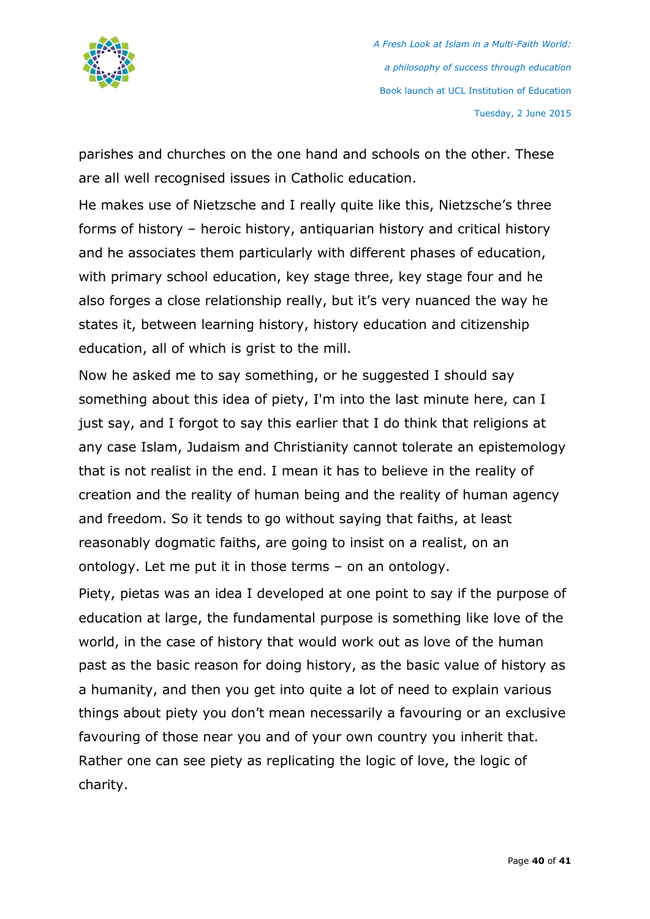

parishes and churches on the one hand and schools on the other. These are all well recognised issues in Catholic education.

He makes use of Nietzsche and I really quite like this, Nietzsche's three forms of history – heroic history, antiquarian history and critical history and he associates them particularly with different phases of education, with primary school education, key stage three, key stage four and he also forges a close relationship really, but it's very nuanced the way he states it, between learning history, history education and citizenship education, all of which is grist to the mill.

Now he asked me to say something, or he suggested I should say something about this idea of piety, I'm into the last minute here, can I just say, and I forgot to say this earlier that I do think that religions at any case Islam, Judaism and Christianity cannot tolerate an epistemology that is not realist in the end. I mean it has to believe in the reality of creation and the reality of human being and the reality of human agency and freedom. So it tends to go without saying that faiths, at least reasonably dogmatic faiths, are going to insist on a realist, on an ontology. Let me put it in those terms – on an ontology.

Piety, pietas was an idea I developed at one point to say if the purpose of education at large, the fundamental purpose is something like love of the world, in the case of history that would work out as love of the human past as the basic reason for doing history, as the basic value of history as a humanity, and then you get into quite a lot of need to explain various things about piety you don't mean necessarily a favouring or an exclusive favouring of those near you and of your own country you inherit that. Rather one can see piety as replicating the logic of love, the logic of charity.